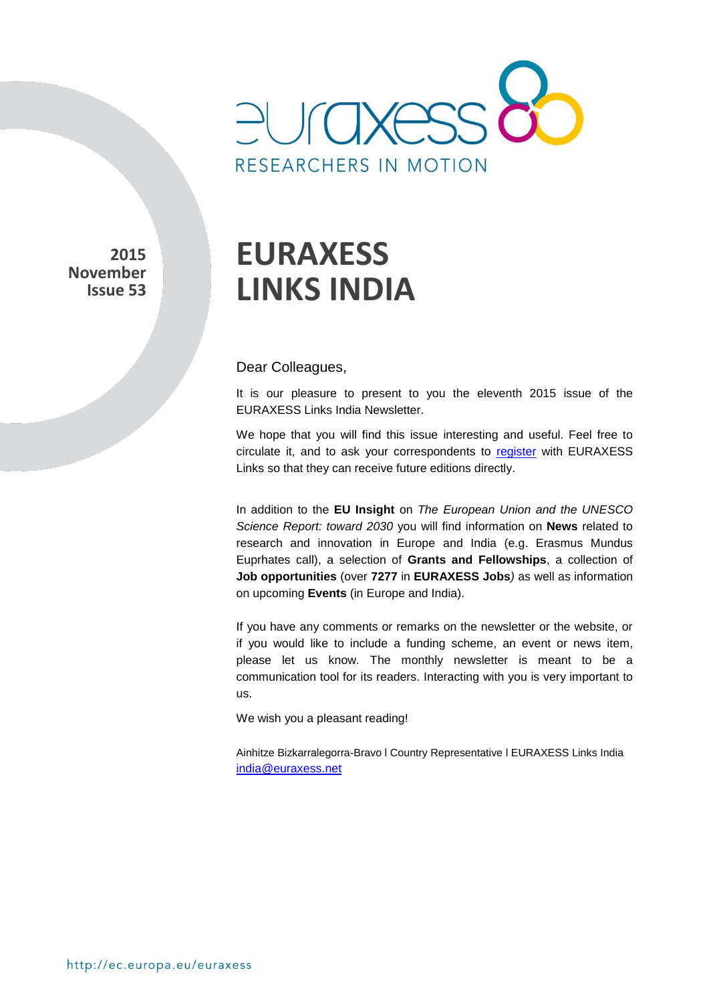

**2015 November Issue 53** 

# **EURAXESS LINKS INDIA**

Dear Colleagues,

It is our pleasure to present to you the eleventh 2015 issue of the EURAXESS Links India Newsletter.

We hope that you will find this issue interesting and useful. Feel free to circulate it, and to ask your correspondents to [register](http://europa.eu/sinapse/directaccess/euraxess-links-india/join) with EURAXESS Links so that they can receive future editions directly.

In addition to the **EU Insight** on *The European Union and the UNESCO Science Report: toward 2030* you will find information on **News** related to research and innovation in Europe and India (e.g. Erasmus Mundus Euprhates call), a selection of **Grants and Fellowships**, a collection of **Job opportunities** (over **7277** in **EURAXESS Jobs***)* as well as information on upcoming **Events** (in Europe and India).

If you have any comments or remarks on the newsletter or the website, or if you would like to include a funding scheme, an event or news item, please let us know. The monthly newsletter is meant to be a communication tool for its readers. Interacting with you is very important to us.

We wish you a pleasant reading!

Ainhitze Bizkarralegorra-Bravo l Country Representative l EURAXESS Links India india@euraxess.net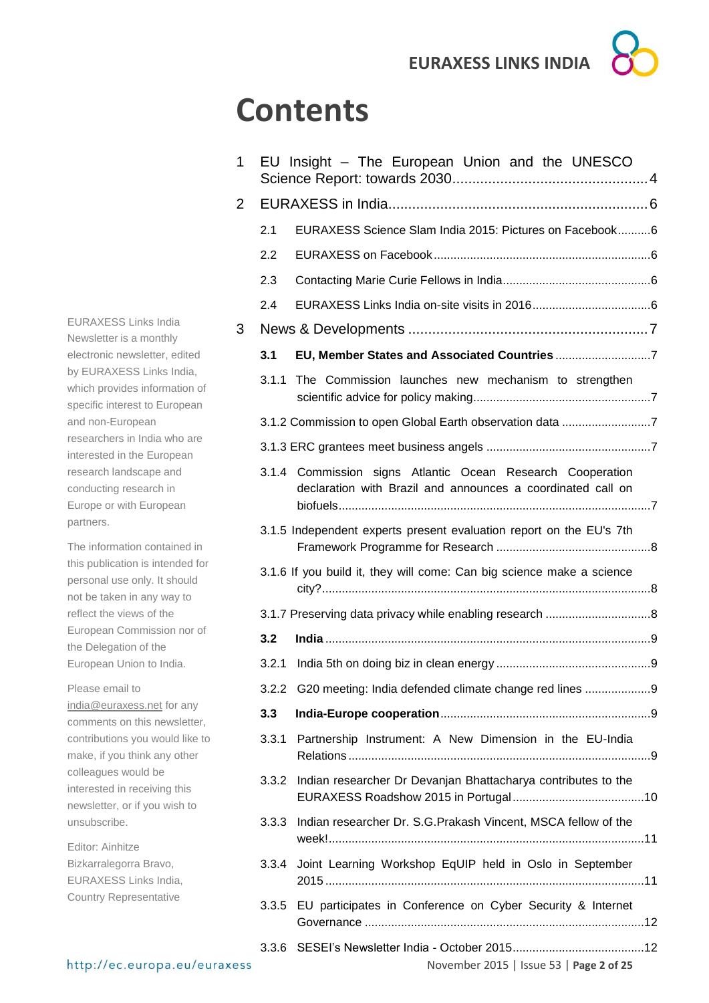# **Contents**

| 1 |       | EU Insight - The European Union and the UNESCO                                                                            |  |  |  |
|---|-------|---------------------------------------------------------------------------------------------------------------------------|--|--|--|
| 2 |       |                                                                                                                           |  |  |  |
|   | 2.1   | EURAXESS Science Slam India 2015: Pictures on Facebook6                                                                   |  |  |  |
|   | 2.2   |                                                                                                                           |  |  |  |
|   | 2.3   |                                                                                                                           |  |  |  |
|   | 2.4   |                                                                                                                           |  |  |  |
| 3 |       |                                                                                                                           |  |  |  |
|   | 3.1   |                                                                                                                           |  |  |  |
|   | 3.1.1 | The Commission launches new mechanism to strengthen                                                                       |  |  |  |
|   |       | 3.1.2 Commission to open Global Earth observation data 7                                                                  |  |  |  |
|   |       |                                                                                                                           |  |  |  |
|   |       | 3.1.4 Commission signs Atlantic Ocean Research Cooperation<br>declaration with Brazil and announces a coordinated call on |  |  |  |
|   |       | 3.1.5 Independent experts present evaluation report on the EU's 7th                                                       |  |  |  |
|   |       | 3.1.6 If you build it, they will come: Can big science make a science                                                     |  |  |  |
|   |       |                                                                                                                           |  |  |  |
|   | 3.2   |                                                                                                                           |  |  |  |
|   |       |                                                                                                                           |  |  |  |
|   |       | 3.2.2 G20 meeting: India defended climate change red lines                                                                |  |  |  |
|   | 3.3   |                                                                                                                           |  |  |  |
|   | 3.3.1 | Partnership Instrument: A New Dimension in the EU-India                                                                   |  |  |  |
|   | 3.3.2 | Indian researcher Dr Devanjan Bhattacharya contributes to the                                                             |  |  |  |
|   | 3.3.3 | Indian researcher Dr. S.G.Prakash Vincent, MSCA fellow of the                                                             |  |  |  |
|   | 3.3.4 | Joint Learning Workshop EqUIP held in Oslo in September                                                                   |  |  |  |
|   | 3.3.5 | EU participates in Conference on Cyber Security & Internet                                                                |  |  |  |
|   | 3.3.6 |                                                                                                                           |  |  |  |

EURAXESS Links India Newsletter is a monthly electronic newsletter, edited by EURAXESS Links India, which provides information of specific interest to European and non-European researchers in India who are interested in the European research landscape and conducting research in Europe or with European partners.

The information contained in this publication is intended for personal use only. It should not be taken in any way to reflect the views of the European Commission nor of the Delegation of the European Union to India.

Please email to [india@euraxess.net](mailto:india@euraxess.net) for any comments on this newsletter, contributions you would like to make, if you think any other colleagues would be interested in receiving this newsletter, or if you wish to unsubscribe.

Editor: Ainhitze Bizkarralegorra Bravo, EURAXESS Links India, Country Representative

November 2015 | Issue 53 | **Page 2 of 25**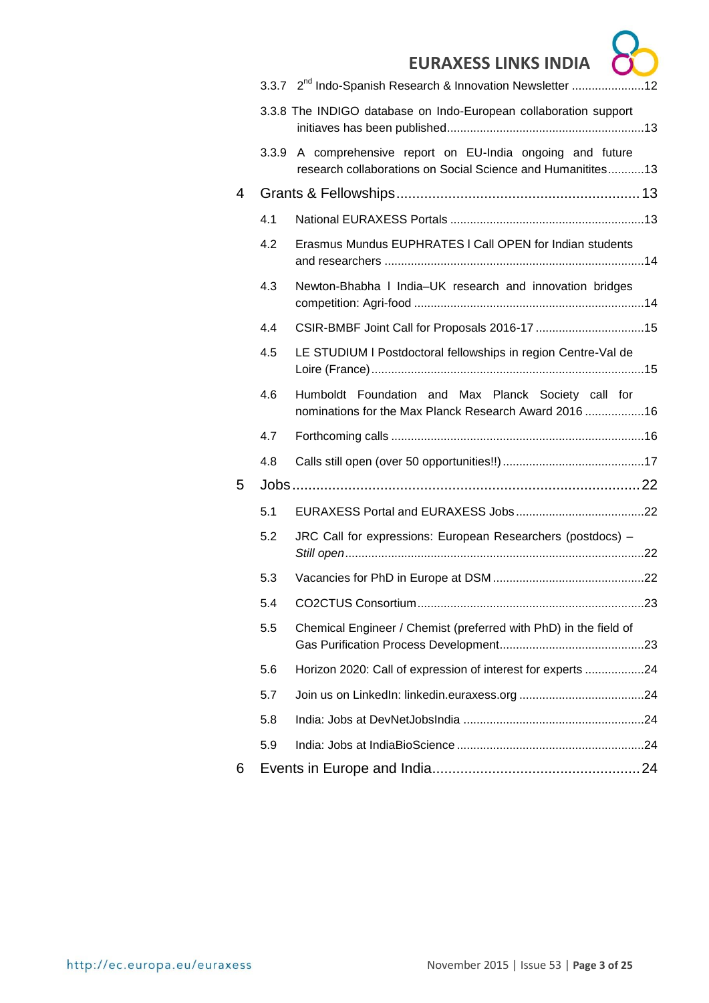$\overline{\phantom{a}}$ 

|   |     | 3.3.7 2 <sup>nd</sup> Indo-Spanish Research & Innovation Newsletter 12                                                      |  |
|---|-----|-----------------------------------------------------------------------------------------------------------------------------|--|
|   |     | 3.3.8 The INDIGO database on Indo-European collaboration support                                                            |  |
|   |     | 3.3.9 A comprehensive report on EU-India ongoing and future<br>research collaborations on Social Science and Humanitites 13 |  |
| 4 |     |                                                                                                                             |  |
|   | 4.1 |                                                                                                                             |  |
|   | 4.2 | Erasmus Mundus EUPHRATES I Call OPEN for Indian students                                                                    |  |
|   | 4.3 | Newton-Bhabha I India-UK research and innovation bridges                                                                    |  |
|   | 4.4 | CSIR-BMBF Joint Call for Proposals 2016-17 15                                                                               |  |
|   | 4.5 | LE STUDIUM I Postdoctoral fellowships in region Centre-Val de                                                               |  |
|   | 4.6 | Humboldt Foundation and Max Planck Society call for<br>nominations for the Max Planck Research Award 2016  16               |  |
|   | 4.7 |                                                                                                                             |  |
|   | 4.8 |                                                                                                                             |  |
| 5 |     |                                                                                                                             |  |
|   | 5.1 |                                                                                                                             |  |
|   | 5.2 | JRC Call for expressions: European Researchers (postdocs) -                                                                 |  |
|   | 5.3 |                                                                                                                             |  |
|   | 5.4 |                                                                                                                             |  |
|   | 5.5 | Chemical Engineer / Chemist (preferred with PhD) in the field of                                                            |  |
|   | 5.6 | Horizon 2020: Call of expression of interest for experts 24                                                                 |  |
|   | 5.7 |                                                                                                                             |  |
|   | 5.8 |                                                                                                                             |  |
|   | 5.9 |                                                                                                                             |  |
| 6 |     |                                                                                                                             |  |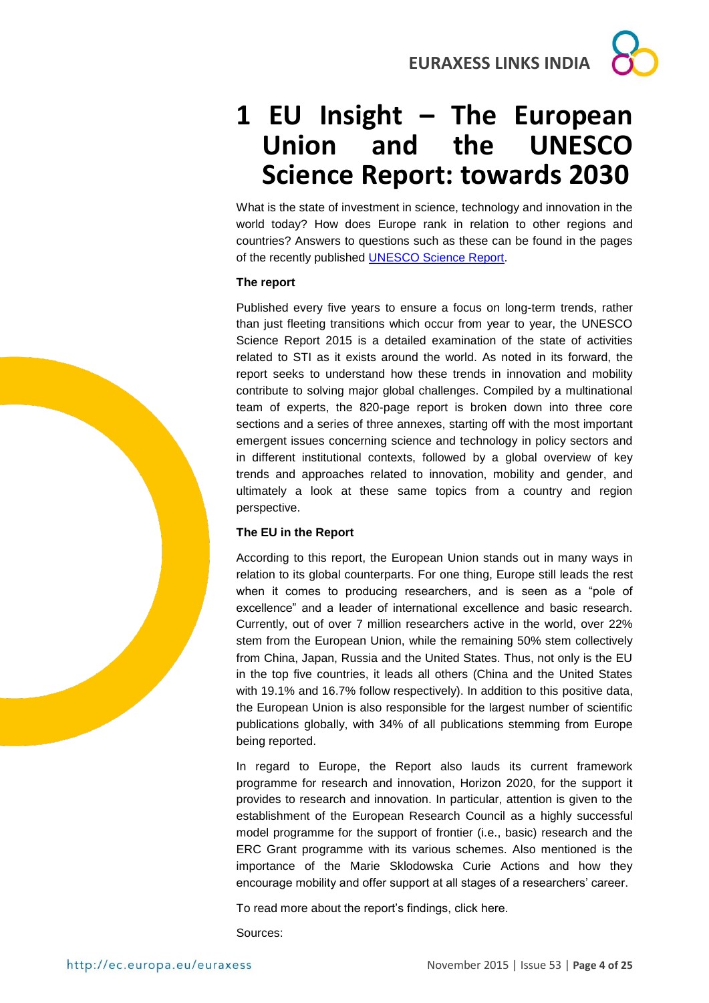## <span id="page-3-0"></span>**1 EU Insight – The European Union and the UNESCO Science Report: towards 2030**

What is the state of investment in science, technology and innovation in the world today? How does Europe rank in relation to other regions and countries? Answers to questions such as these can be found in the pages of the recently published [UNESCO Science Report.](http://unesdoc.unesco.org/images/0023/002354/235406e.pdf)

#### **The report**

Published every five years to ensure a focus on long-term trends, rather than just fleeting transitions which occur from year to year, the UNESCO Science Report 2015 is a detailed examination of the state of activities related to STI as it exists around the world. As noted in its forward, the report seeks to understand how these trends in innovation and mobility contribute to solving major global challenges. Compiled by a multinational team of experts, the 820-page report is broken down into three core sections and a series of three annexes, starting off with the most important emergent issues concerning science and technology in policy sectors and in different institutional contexts, followed by a global overview of key trends and approaches related to innovation, mobility and gender, and ultimately a look at these same topics from a country and region perspective.

#### **The EU in the Report**

According to this report, the European Union stands out in many ways in relation to its global counterparts. For one thing, Europe still leads the rest when it comes to producing researchers, and is seen as a "pole of excellence" and a leader of international excellence and basic research. Currently, out of over 7 million researchers active in the world, over 22% stem from the European Union, while the remaining 50% stem collectively from China, Japan, Russia and the United States. Thus, not only is the EU in the top five countries, it leads all others (China and the United States with 19.1% and 16.7% follow respectively). In addition to this positive data, the European Union is also responsible for the largest number of scientific publications globally, with 34% of all publications stemming from Europe being reported.

In regard to Europe, the Report also lauds its current framework programme for research and innovation, Horizon 2020, for the support it provides to research and innovation. In particular, attention is given to the establishment of the European Research Council as a highly successful model programme for the support of frontier (i.e., basic) research and the ERC Grant programme with its various schemes. Also mentioned is the importance of the Marie Sklodowska Curie Actions and how they encourage mobility and offer support at all stages of a researchers' career.

To read more about the report's findings, click here.

Sources:

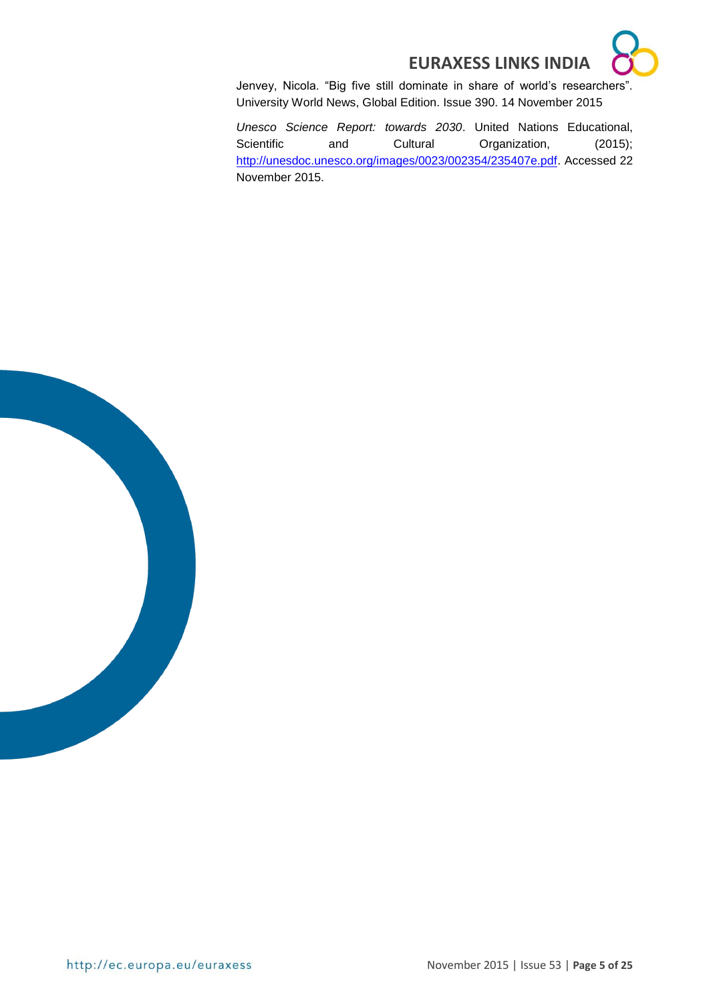

Jenvey, Nicola. "Big five still dominate in share of world's researchers". University World News, Global Edition. Issue 390. 14 November 2015

*Unesco Science Report: towards 2030*. United Nations Educational, Scientific and Cultural Organization, (2015); [http://unesdoc.unesco.org/images/0023/002354/235407e.pdf.](http://unesdoc.unesco.org/images/0023/002354/235407e.pdf) Accessed 22 November 2015.

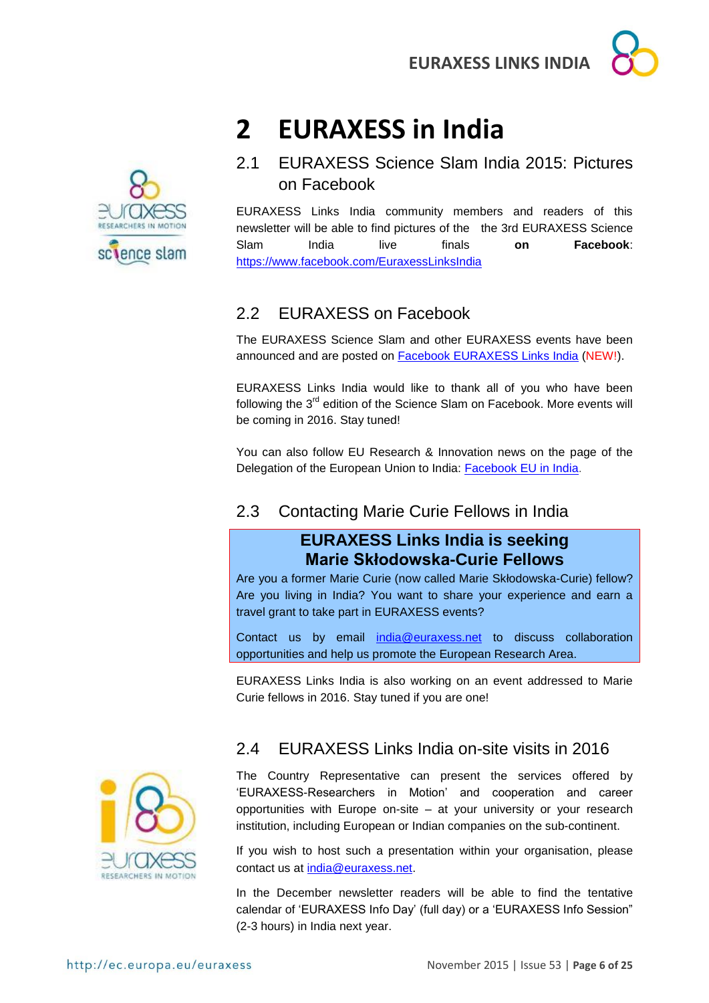



# <span id="page-5-0"></span>**2 EURAXESS in India**

<span id="page-5-1"></span>2.1 EURAXESS Science Slam India 2015: Pictures on Facebook

EURAXESS Links India community members and readers of this newsletter will be able to find pictures of the the 3rd EURAXESS Science Slam India live finals **on Facebook**: <https://www.facebook.com/EuraxessLinksIndia>

## <span id="page-5-2"></span>2.2 EURAXESS on Facebook

The EURAXESS Science Slam and other EURAXESS events have been announced and are posted on [Facebook EURAXESS Links India](https://www.facebook.com/EuraxessLinksIndia) (NEW!).

EURAXESS Links India would like to thank all of you who have been following the 3<sup>rd</sup> edition of the Science Slam on Facebook. More events will be coming in 2016. Stay tuned!

You can also follow EU Research & Innovation news on the page of the Delegation of the European Union to India: [Facebook EU in India.](https://www.facebook.com/EUinIndia)

## <span id="page-5-3"></span>2.3 Contacting Marie Curie Fellows in India

## **EURAXESS Links India is seeking Marie Skłodowska-Curie Fellows**

Are you a former Marie Curie (now called Marie Skłodowska-Curie) fellow? Are you living in India? You want to share your experience and earn a travel grant to take part in EURAXESS events?

Contact us by email [india@euraxess.net](mailto:india@euraxess.net) to discuss collaboration opportunities and help us promote the European Research Area.

EURAXESS Links India is also working on an event addressed to Marie Curie fellows in 2016. Stay tuned if you are one!



## <span id="page-5-4"></span>2.4 EURAXESS Links India on-site visits in 2016

The Country Representative can present the services offered by 'EURAXESS-Researchers in Motion' and cooperation and career opportunities with Europe on-site – at your university or your research institution, including European or Indian companies on the sub-continent.

If you wish to host such a presentation within your organisation, please contact us at [india@euraxess.net.](mailto:india@euraxess.net)

In the December newsletter readers will be able to find the tentative calendar of 'EURAXESS Info Day' (full day) or a 'EURAXESS Info Session" (2-3 hours) in India next year.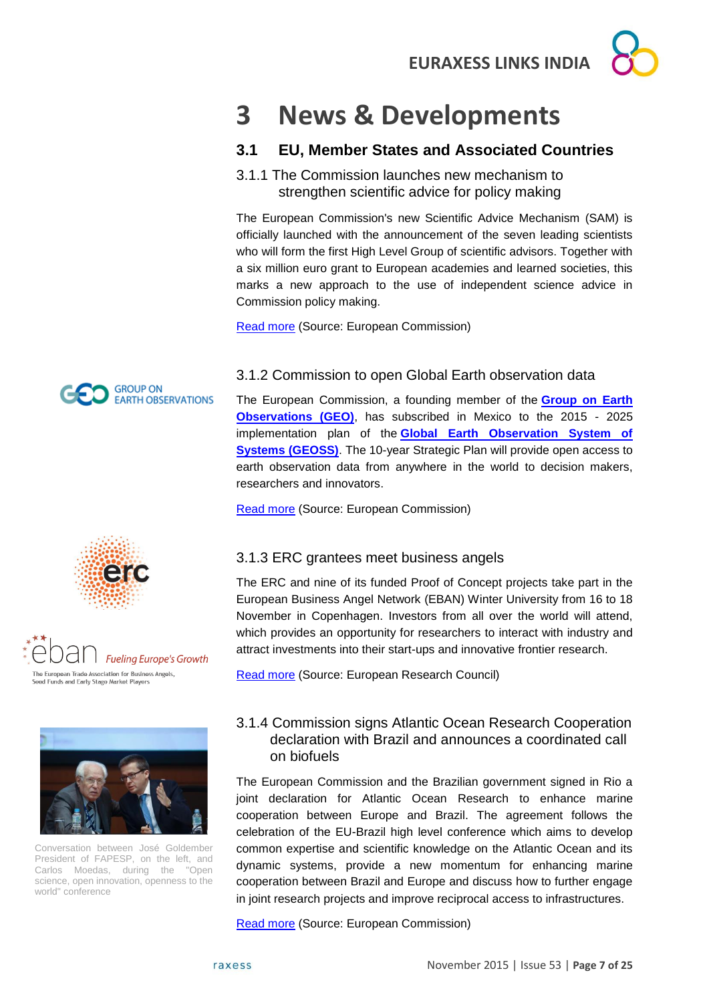# <span id="page-6-0"></span>**3 News & Developments**

## <span id="page-6-1"></span>**3.1 EU, Member States and Associated Countries**

#### <span id="page-6-2"></span>3.1.1 The Commission launches new mechanism to strengthen scientific advice for policy making

The European Commission's new Scientific Advice Mechanism (SAM) is officially launched with the announcement of the seven leading scientists who will form the first High Level Group of scientific advisors. Together with a six million euro grant to European academies and learned societies, this marks a new approach to the use of independent science advice in Commission policy making.

[Read more](http://ec.europa.eu/research/index.cfm?pg=newsalert&year=2015&na=na-101115) (Source: European Commission)

## <span id="page-6-3"></span>3.1.2 Commission to open Global Earth observation data

The European Commission, a founding member of the **[Group on Earth](https://www.earthobservations.org/index.php)  [Observations \(GEO\)](https://www.earthobservations.org/index.php)**, has subscribed in Mexico to the 2015 - 2025 implementation plan of the **[Global Earth Observation System of](http://www.earthobservations.org/geoss.php)  [Systems \(GEOSS\)](http://www.earthobservations.org/geoss.php)**. The 10-year Strategic Plan will provide open access to earth observation data from anywhere in the world to decision makers, researchers and innovators.

[Read more](http://ec.europa.eu/research/index.cfm?pg=newsalert&year=2015&na=na-131115) (Source: European Commission)

## <span id="page-6-4"></span>3.1.3 ERC grantees meet business angels

The ERC and nine of its funded Proof of Concept projects take part in the European Business Angel Network (EBAN) Winter University from 16 to 18 November in Copenhagen. Investors from all over the world will attend, which provides an opportunity for researchers to interact with industry and attract investments into their start-ups and innovative frontier research.

[Read more](https://erc.europa.eu/sites/default/files/press_release/files/Highlight_EBAN.pdf) (Source: European Research Council)



Conversation between José Goldember President of FAPESP, on the left, and Carlos Moedas, during the "Open science, open innovation, openness to the world" conference

raxess

### <span id="page-6-5"></span>3.1.4 Commission signs Atlantic Ocean Research Cooperation declaration with Brazil and announces a coordinated call on biofuels

The European Commission and the Brazilian government signed in Rio a joint declaration for Atlantic Ocean Research to enhance marine cooperation between Europe and Brazil. The agreement follows the celebration of the EU-Brazil high level conference which aims to develop common expertise and scientific knowledge on the Atlantic Ocean and its dynamic systems, provide a new momentum for enhancing marine cooperation between Brazil and Europe and discuss how to further engage in joint research projects and improve reciprocal access to infrastructures.

[Read more](http://ec.europa.eu/research/index.cfm?pg=newsalert&year=2015&na=na-171115) (Source: European Commission)





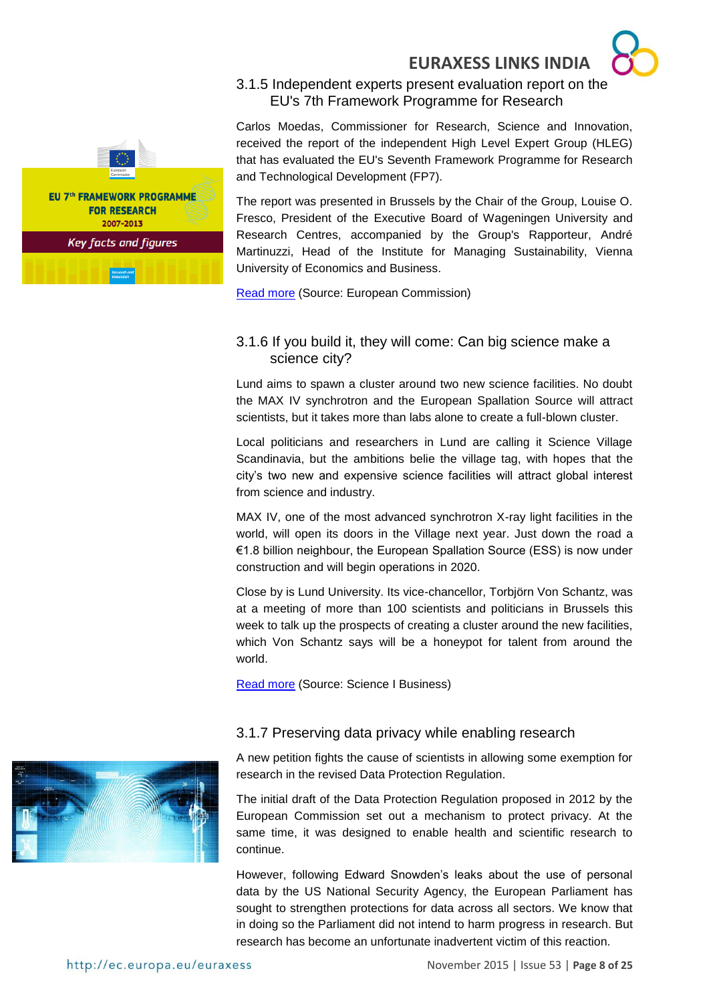

#### <span id="page-7-0"></span>3.1.5 Independent experts present evaluation report on the EU's 7th Framework Programme for Research

Carlos Moedas, Commissioner for Research, Science and Innovation, received the report of the independent High Level Expert Group (HLEG) that has evaluated the EU's Seventh Framework Programme for Research and Technological Development (FP7).

The report was presented in Brussels by the Chair of the Group, Louise O. Fresco, President of the Executive Board of Wageningen University and Research Centres, accompanied by the Group's Rapporteur, André Martinuzzi, Head of the Institute for Managing Sustainability, Vienna University of Economics and Business.

[Read more](http://ec.europa.eu/research/index.cfm?pg=newsalert&year=2015&na=na-191115) (Source: European Commission)

#### <span id="page-7-1"></span>3.1.6 If you build it, they will come: Can big science make a science city?

Lund aims to spawn a cluster around two new science facilities. No doubt the MAX IV synchrotron and the European Spallation Source will attract scientists, but it takes more than labs alone to create a full-blown cluster.

Local politicians and researchers in Lund are calling it Science Village Scandinavia, but the ambitions belie the village tag, with hopes that the city's two new and expensive science facilities will attract global interest from science and industry.

MAX IV, one of the most advanced synchrotron X-ray light facilities in the world, will open its doors in the Village next year. Just down the road a €1.8 billion neighbour, the European Spallation Source (ESS) is now under construction and will begin operations in 2020.

Close by is Lund University. Its vice-chancellor, Torbjörn Von Schantz, was at a meeting of more than 100 scientists and politicians in Brussels this week to talk up the prospects of creating a cluster around the new facilities, which Von Schantz says will be a honeypot for talent from around the world.

[Read more](http://www.sciencebusiness.net/news/77317/If-you-build-it%2c-they-will-come-Can-big-science-make-a-science-city) (Source: Science I Business)

#### <span id="page-7-2"></span>3.1.7 Preserving data privacy while enabling research

A new petition fights the cause of scientists in allowing some exemption for research in the revised Data Protection Regulation.

The initial draft of the Data Protection Regulation proposed in 2012 by the European Commission set out a mechanism to protect privacy. At the same time, it was designed to enable health and scientific research to continue.

However, following Edward Snowden's leaks about the use of personal data by the US National Security Agency, the European Parliament has sought to strengthen protections for data across all sectors. We know that in doing so the Parliament did not intend to harm progress in research. But research has become an unfortunate inadvertent victim of this reaction.

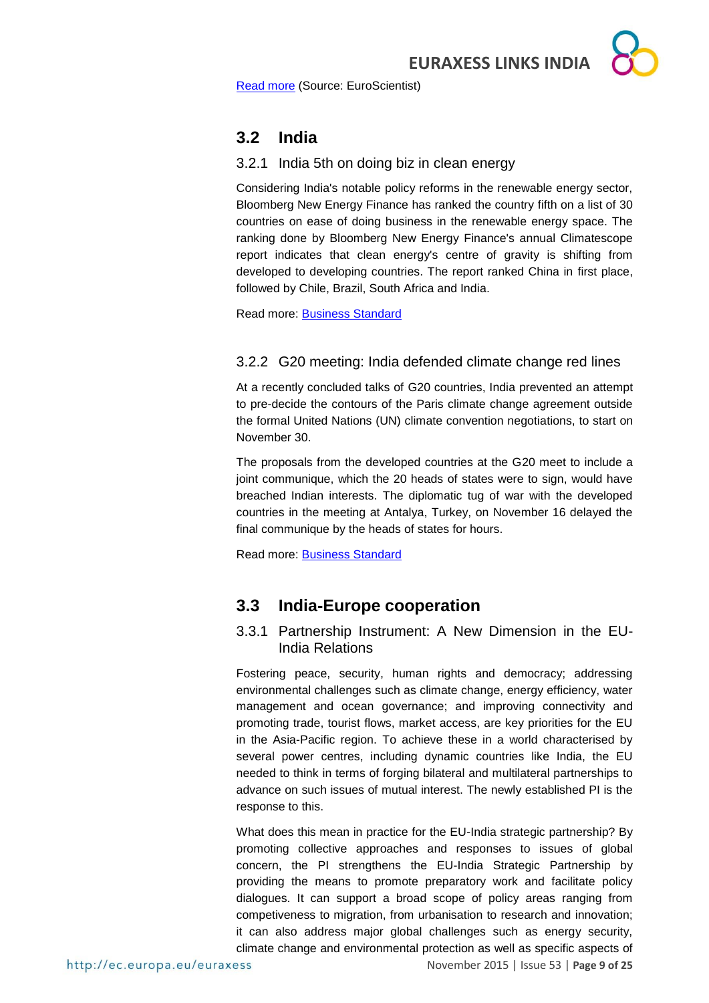[Read more](http://www.euroscientist.com/preserving-data-privacy-while-enabling-research/) (Source: EuroScientist)

## <span id="page-8-0"></span>**3.2 India**

#### <span id="page-8-1"></span>3.2.1 India 5th on doing biz in clean energy

Considering India's notable policy reforms in the renewable energy sector, Bloomberg New Energy Finance has ranked the country fifth on a list of 30 countries on ease of doing business in the renewable energy space. The ranking done by Bloomberg New Energy Finance's annual Climatescope report indicates that clean energy's centre of gravity is shifting from developed to developing countries. The report ranked China in first place, followed by Chile, Brazil, South Africa and India.

Read more: **Business Standard** 

#### <span id="page-8-2"></span>3.2.2 G20 meeting: India defended climate change red lines

At a recently concluded talks of G20 countries, India prevented an attempt to pre-decide the contours of the Paris climate change agreement outside the formal United Nations (UN) climate convention negotiations, to start on November 30.

The proposals from the developed countries at the G20 meet to include a joint communique, which the 20 heads of states were to sign, would have breached Indian interests. The diplomatic tug of war with the developed countries in the meeting at Antalya, Turkey, on November 16 delayed the final communique by the heads of states for hours.

Read more: [Business Standard](http://www.business-standard.com/article/current-affairs/india-defended-climate-change-red-lines-at-g20-meeting-115112200579_1.html)

## <span id="page-8-3"></span>**3.3 India-Europe cooperation**

#### <span id="page-8-4"></span>3.3.1 Partnership Instrument: A New Dimension in the EU-India Relations

Fostering peace, security, human rights and democracy; addressing environmental challenges such as climate change, energy efficiency, water management and ocean governance; and improving connectivity and promoting trade, tourist flows, market access, are key priorities for the EU in the Asia-Pacific region. To achieve these in a world characterised by several power centres, including dynamic countries like India, the EU needed to think in terms of forging bilateral and multilateral partnerships to advance on such issues of mutual interest. The newly established PI is the response to this.

What does this mean in practice for the EU-India strategic partnership? By promoting collective approaches and responses to issues of global concern, the PI strengthens the EU-India Strategic Partnership by providing the means to promote preparatory work and facilitate policy dialogues. It can support a broad scope of policy areas ranging from competiveness to migration, from urbanisation to research and innovation; it can also address major global challenges such as energy security, climate change and environmental protection as well as specific aspects of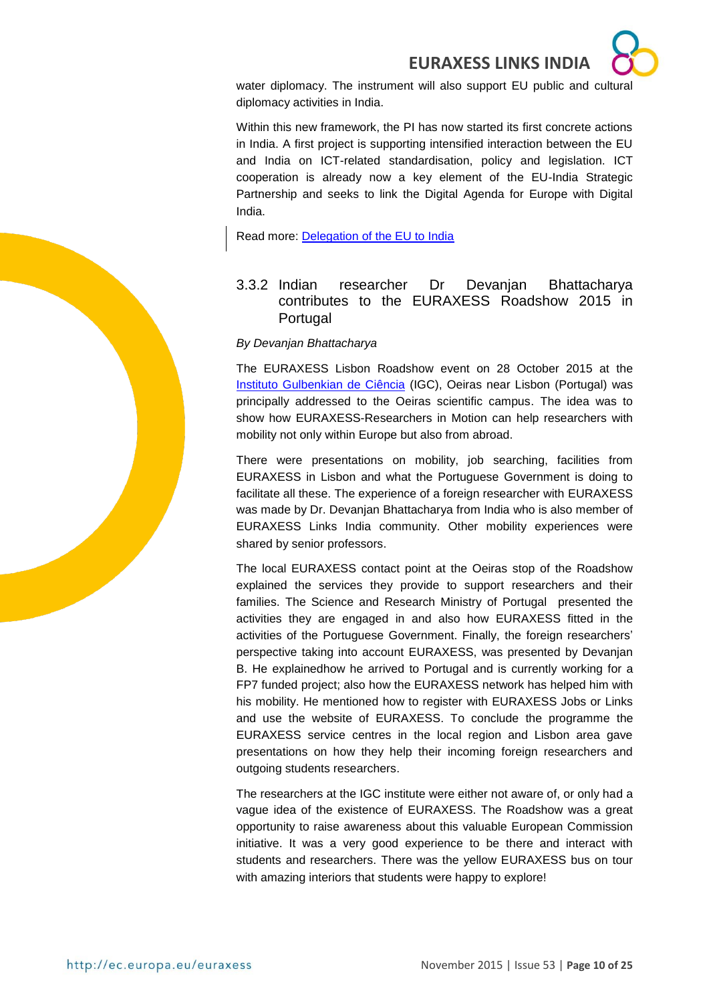

water diplomacy. The instrument will also support EU public and cultural diplomacy activities in India.

Within this new framework, the PI has now started its first concrete actions in India. A first project is supporting intensified interaction between the EU and India on ICT-related standardisation, policy and legislation. ICT cooperation is already now a key element of the EU-India Strategic Partnership and seeks to link the Digital Agenda for Europe with Digital India.

Read more: [Delegation of the EU to India](http://euindiaenewsletter.com/Vol_5_October_2015/webpages/Partnership%20Instrument.html)

#### <span id="page-9-0"></span>3.3.2 Indian researcher Dr Devanjan Bhattacharya contributes to the EURAXESS Roadshow 2015 in Portugal

#### *By Devanjan Bhattacharya*

The EURAXESS Lisbon Roadshow event on 28 October 2015 at the [Instituto Gulbenkian de Ciência](http://www.igc.gulbenkian.pt/) (IGC), Oeiras near Lisbon (Portugal) was principally addressed to the Oeiras scientific campus. The idea was to show how EURAXESS-Researchers in Motion can help researchers with mobility not only within Europe but also from abroad.

There were presentations on mobility, job searching, facilities from EURAXESS in Lisbon and what the Portuguese Government is doing to facilitate all these. The experience of a foreign researcher with EURAXESS was made by Dr. Devanjan Bhattacharya from India who is also member of EURAXESS Links India community. Other mobility experiences were shared by senior professors.

The local EURAXESS contact point at the Oeiras stop of the Roadshow explained the services they provide to support researchers and their families. The Science and Research Ministry of Portugal presented the activities they are engaged in and also how EURAXESS fitted in the activities of the Portuguese Government. Finally, the foreign researchers' perspective taking into account EURAXESS, was presented by Devanjan B. He explainedhow he arrived to Portugal and is currently working for a FP7 funded project; also how the EURAXESS network has helped him with his mobility. He mentioned how to register with EURAXESS Jobs or Links and use the website of EURAXESS. To conclude the programme the EURAXESS service centres in the local region and Lisbon area gave presentations on how they help their incoming foreign researchers and outgoing students researchers.

The researchers at the IGC institute were either not aware of, or only had a vague idea of the existence of EURAXESS. The Roadshow was a great opportunity to raise awareness about this valuable European Commission initiative. It was a very good experience to be there and interact with students and researchers. There was the yellow EURAXESS bus on tour with amazing interiors that students were happy to explore!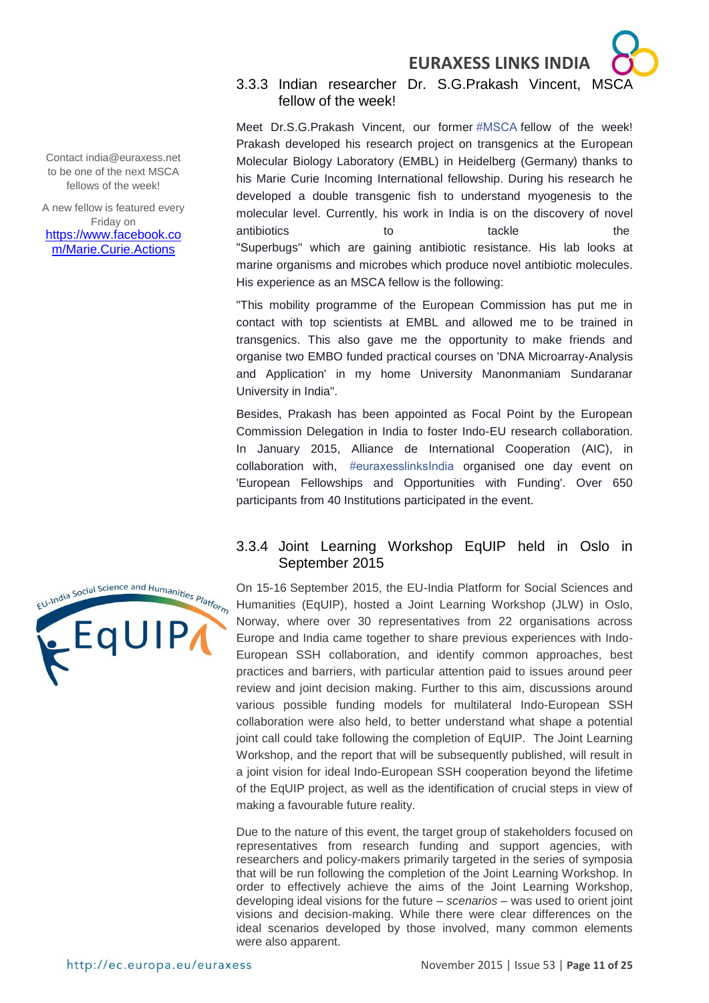#### <span id="page-10-0"></span>3.3.3 Indian researcher Dr. S.G.Prakash Vincent, MSCA fellow of the week!

Meet Dr.S.G.Prakash Vincent, our former [#MSCA](https://www.facebook.com/hashtag/msca?source=feed_text&story_id=988790901194443) fellow of the week! Prakash developed his research project on transgenics at the European Molecular Biology Laboratory (EMBL) in Heidelberg (Germany) thanks to his Marie Curie Incoming International fellowship. During his research he developed a double transgenic fish to understand myogenesis to the molecular level. Currently, his work in India is on the discovery of novel antibiotics to the tackle the the "Superbugs" which are gaining antibiotic resistance. His lab looks at marine organisms and microbes which produce novel antibiotic molecules. His experience as an MSCA fellow is the following:

"This mobility programme of the European Commission has put me in contact with top scientists at EMBL and allowed me to be trained in transgenics. This also gave me the opportunity to make friends and organise two EMBO funded practical courses on 'DNA Microarray-Analysis and Application' in my home University Manonmaniam Sundaranar University in India".

Besides, Prakash has been appointed as Focal Point by the European Commission Delegation in India to foster Indo-EU research collaboration. In January 2015, Alliance de International Cooperation (AIC), in collaboration with, [#euraxesslinksIndia](https://www.facebook.com/hashtag/euraxesslinksindia?source=feed_text&story_id=988790901194443) organised one day event on 'European Fellowships and Opportunities with Funding'. Over 650 participants from 40 Institutions participated in the event.

#### <span id="page-10-1"></span>3.3.4 Joint Learning Workshop EqUIP held in Oslo in September 2015

On 15-16 September 2015, the EU-India Platform for Social Sciences and Humanities (EqUIP), hosted a Joint Learning Workshop (JLW) in Oslo, Norway, where over 30 representatives from 22 organisations across Europe and India came together to share previous experiences with Indo-European SSH collaboration, and identify common approaches, best practices and barriers, with particular attention paid to issues around peer review and joint decision making. Further to this aim, discussions around various possible funding models for multilateral Indo-European SSH collaboration were also held, to better understand what shape a potential joint call could take following the completion of EqUIP. The Joint Learning Workshop, and the report that will be subsequently published, will result in a joint vision for ideal Indo-European SSH cooperation beyond the lifetime of the EqUIP project, as well as the identification of crucial steps in view of making a favourable future reality.

Due to the nature of this event, the target group of stakeholders focused on representatives from research funding and support agencies, with researchers and policy-makers primarily targeted in the series of symposia that will be run following the completion of the Joint Learning Workshop. In order to effectively achieve the aims of the Joint Learning Workshop, developing ideal visions for the future – *scenarios* – was used to orient joint visions and decision-making. While there were clear differences on the ideal scenarios developed by those involved, many common elements were also apparent.

Contact india@euraxess.net to be one of the next MSCA fellows of the week!

A new fellow is featured every Friday on [https://www.facebook.co](https://www.facebook.com/Marie.Curie.Actions) [m/Marie.Curie.Actions](https://www.facebook.com/Marie.Curie.Actions)

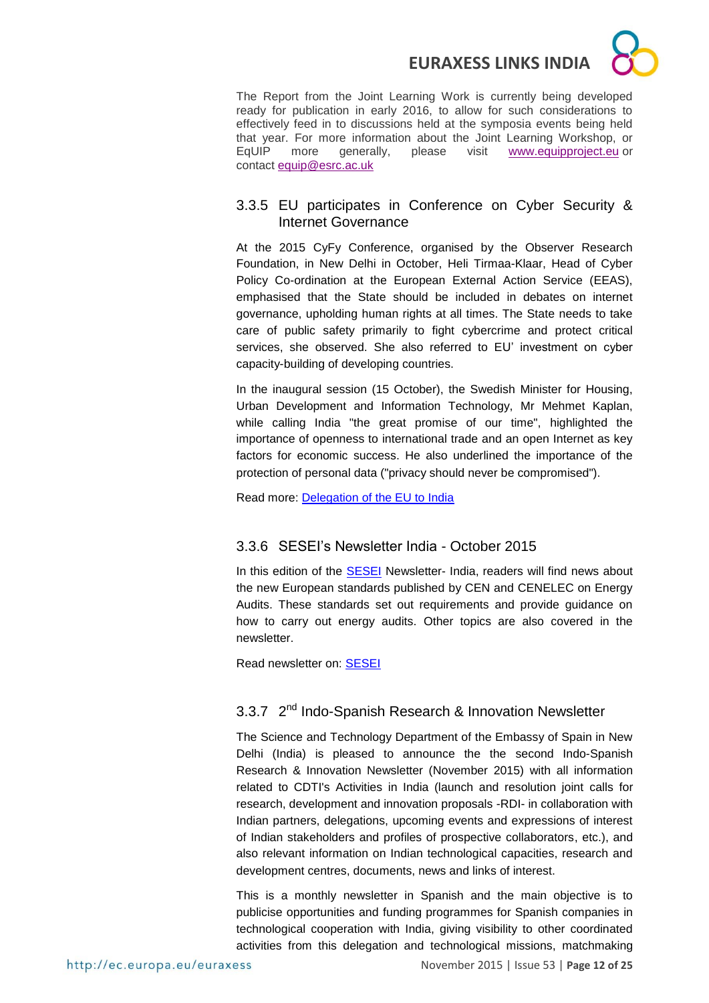The Report from the Joint Learning Work is currently being developed ready for publication in early 2016, to allow for such considerations to effectively feed in to discussions held at the symposia events being held that year. For more information about the Joint Learning Workshop, or EqUIP more generally, please visit [www.equipproject.eu](http://www.equipproject.eu/) or contact [equip@esrc.ac.uk](mailto:equip@esrc.ac.uk)

#### <span id="page-11-0"></span>3.3.5 EU participates in Conference on Cyber Security & Internet Governance

At the 2015 CyFy Conference, organised by the Observer Research Foundation, in New Delhi in October, Heli Tirmaa-Klaar, Head of Cyber Policy Co-ordination at the European External Action Service (EEAS), emphasised that the State should be included in debates on internet governance, upholding human rights at all times. The State needs to take care of public safety primarily to fight cybercrime and protect critical services, she observed. She also referred to EU' investment on cyber capacity-building of developing countries.

In the inaugural session (15 October), the Swedish Minister for Housing, Urban Development and Information Technology, Mr Mehmet Kaplan, while calling India "the great promise of our time", highlighted the importance of openness to international trade and an open Internet as key factors for economic success. He also underlined the importance of the protection of personal data ("privacy should never be compromised").

Read more: [Delegation of the EU to India](http://euindiaenewsletter.com/Vol_5_October_2015/webpages/CyFy.html)

#### <span id="page-11-1"></span>3.3.6 SESEI's Newsletter India - October 2015

In this edition of the **SESEI** Newsletter- India, readers will find news about the new European standards published by CEN and CENELEC on Energy Audits. These standards set out requirements and provide guidance on how to carry out energy audits. Other topics are also covered in the newsletter.

Read newsletter on: [SESEI](http://eustandards.in/wp-content/uploads/2015/11/SESEI-Newsletter_India-Issue-09_Final.pdf)

#### <span id="page-11-2"></span>3.3.7 2<sup>nd</sup> Indo-Spanish Research & Innovation Newsletter

The Science and Technology Department of the Embassy of Spain in New Delhi (India) is pleased to announce the the second Indo-Spanish Research & Innovation Newsletter (November 2015) with all information related to CDTI's Activities in India (launch and resolution joint calls for research, development and innovation proposals -RDI- in collaboration with Indian partners, delegations, upcoming events and expressions of interest of Indian stakeholders and profiles of prospective collaborators, etc.), and also relevant information on Indian technological capacities, research and development centres, documents, news and links of interest.

This is a monthly newsletter in Spanish and the main objective is to publicise opportunities and funding programmes for Spanish companies in technological cooperation with India, giving visibility to other coordinated activities from this delegation and technological missions, matchmaking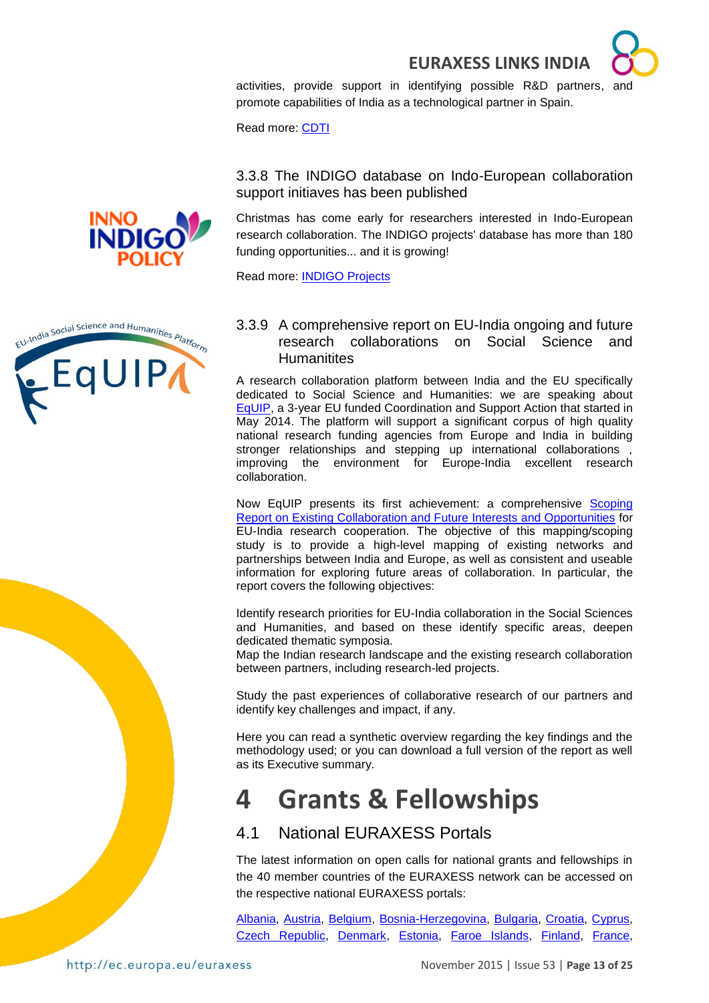

activities, provide support in identifying possible R&D partners, and promote capabilities of India as a technological partner in Spain.

Read more: [CDTI](https://www.cdti.es/index.asp?MP=7&MS=563&MN=3&TR=C&IDR=2413&IDP=749&IDS=5110)

#### <span id="page-12-0"></span>3.3.8 The INDIGO database on Indo-European collaboration support initiaves has been published

Christmas has come early for researchers interested in Indo-European research collaboration. The INDIGO projects' database has more than 180 funding opportunities... and it is growing!

Read more: [INDIGO Projects](http://indigoprojects.eu/object/program/list)

<span id="page-12-1"></span>3.3.9 A comprehensive report on EU-India ongoing and future research collaborations on Social Science and **Humanitites** 

A research collaboration platform between India and the EU specifically dedicated to Social Science and Humanities: we are speaking about [EqUIP,](http://equipproject.eu/) a 3-year EU funded Coordination and Support Action that started in May 2014. The platform will support a significant corpus of high quality national research funding agencies from Europe and India in building stronger relationships and stepping up international collaborations, improving the environment for Europe-India excellent research collaboration.

Now EqUIP presents its first achievement: a comprehensive [Scoping](http://equipproject.eu/wp-content/uploads/2015/09/EqUIP-Executive-Summary-of-the-Scoping-Report.pdf)  [Report on Existing Collaboration and Future Interests and Opportunities](http://equipproject.eu/wp-content/uploads/2015/09/EqUIP-Executive-Summary-of-the-Scoping-Report.pdf) for EU-India research cooperation. The objective of this mapping/scoping study is to provide a high-level mapping of existing networks and partnerships between India and Europe, as well as consistent and useable information for exploring future areas of collaboration. In particular, the report covers the following objectives:

Identify research priorities for EU-India collaboration in the Social Sciences and Humanities, and based on these identify specific areas, deepen dedicated thematic symposia.

Map the Indian research landscape and the existing research collaboration between partners, including research-led projects.

Study the past experiences of collaborative research of our partners and identify key challenges and impact, if any.

Here you can read a synthetic overview regarding the key findings and the methodology used; or you can download a full version of the report as well as its Executive summary.

# <span id="page-12-2"></span>**4 Grants & Fellowships**

## <span id="page-12-3"></span>4.1 National EURAXESS Portals

The latest information on open calls for national grants and fellowships in the 40 member countries of the EURAXESS network can be accessed on the respective national EURAXESS portals:

[Albania,](http://www.euraxess.al/) [Austria,](http://www.euraxess.at/home/) [Belgium,](http://ec.europa.eu/euraxess/np/belgium/index.htm) [Bosnia-Herzegovina,](http://www.euraxess.ba/index.php?sec=22) [Bulgaria,](http://www.euraxess.bg/) [Croatia,](http://www.euraxess.hr/sitegenius/index.php) [Cyprus,](http://www.euraxess.org.cy/) [Czech Republic,](http://www.euraxess.cz/) [Denmark,](http://euraxess.dk/) [Estonia,](http://euraxess.ee/) [Faroe Islands,](http://www.euraxess.fo/index.php?id=3) [Finland,](http://www.aka.fi/euraxess) [France,](http://www.euraxess.fr/en)



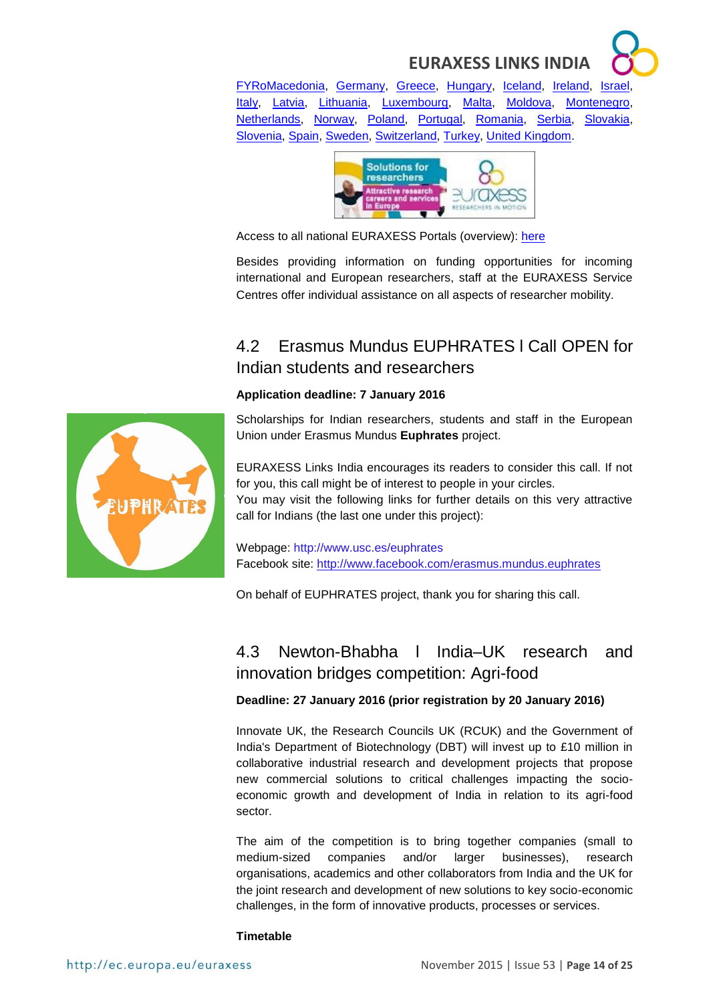[FYRoMacedonia,](http://www.euraxess.mk/home) [Germany,](http://www.euraxess.de/index.php) [Greece,](http://mobility.certh.gr/pls/rmp/mobility.main) [Hungary,](http://euraxess.hu/en) [Iceland,](http://www.euraxess.is/home/) [Ireland,](http://www.euraxess.ie/) [Israel,](http://www.euraxess.gov.il/UI/Main/Home.aspx) [Italy,](http://www.euraxess.it/) [Latvia,](http://euraxess.lv/) [Lithuania,](http://www.euraxess.lt/) [Luxembourg,](http://www.euraxess.lu/) [Malta,](http://www.euraxess.org.mt/) [Moldova,](http://www.euraxess.md/en) [Montenegro,](http://www.euraxess.me/sitegenius/index.php) [Netherlands,](http://www.euraxess.nl/) [Norway,](http://www.euraxess.no/servlet/Satellite?c=Page&pagename=euraxess%2FHovedsidemal&cid=1224067050882) [Poland,](http://www.euraxess.pl/) [Portugal,](http://www.euraxess.pt/) [Romania,](http://www.euraxess.gov.ro/indexEN.html) [Serbia,](http://www.euraxess.rs/sitegenius/index.php) [Slovakia,](http://www.euraxess.sk/en) [Slovenia,](http://www.euraxess.si/en/index.aspx) [Spain,](http://www.euraxess.es/eng) [Sweden,](http://www.euraxess.se/) [Switzerland,](http://www.euraxess.ch/) [Turkey,](http://euraxess.tubitak.gov.tr/euraxess/) [United Kingdom.](http://www.britishcouncil.org/new/euraxess/)



Access to all national EURAXESS Portals (overview): [here](http://ec.europa.eu/euraxess/index.cfm/jobs/nationalPortals)

Besides providing information on funding opportunities for incoming international and European researchers, staff at the EURAXESS Service Centres offer individual assistance on all aspects of researcher mobility.

## <span id="page-13-0"></span>4.2 Erasmus Mundus EUPHRATES l Call OPEN for Indian students and researchers

#### **Application deadline: 7 January 2016**

Scholarships for Indian researchers, students and staff in the European Union under Erasmus Mundus **Euphrates** project.

EURAXESS Links India encourages its readers to consider this call. If not for you, this call might be of interest to people in your circles.

You may visit the following links for further details on this very attractive call for Indians (the last one under this project):

Webpage: <http://www.usc.es/euphrates> Facebook site: <http://www.facebook.com/erasmus.mundus.euphrates>

On behalf of EUPHRATES project, thank you for sharing this call.

## <span id="page-13-1"></span>4.3 Newton-Bhabha l India–UK research and innovation bridges competition: Agri-food

#### **Deadline: 27 January 2016 (prior registration by 20 January 2016)**

Innovate UK, the Research Councils UK (RCUK) and the Government of India's Department of Biotechnology (DBT) will invest up to £10 million in collaborative industrial research and development projects that propose new commercial solutions to critical challenges impacting the socioeconomic growth and development of India in relation to its agri-food sector.

The aim of the competition is to bring together companies (small to medium-sized companies and/or larger businesses), research organisations, academics and other collaborators from India and the UK for the joint research and development of new solutions to key socio-economic challenges, in the form of innovative products, processes or services.

#### **Timetable**

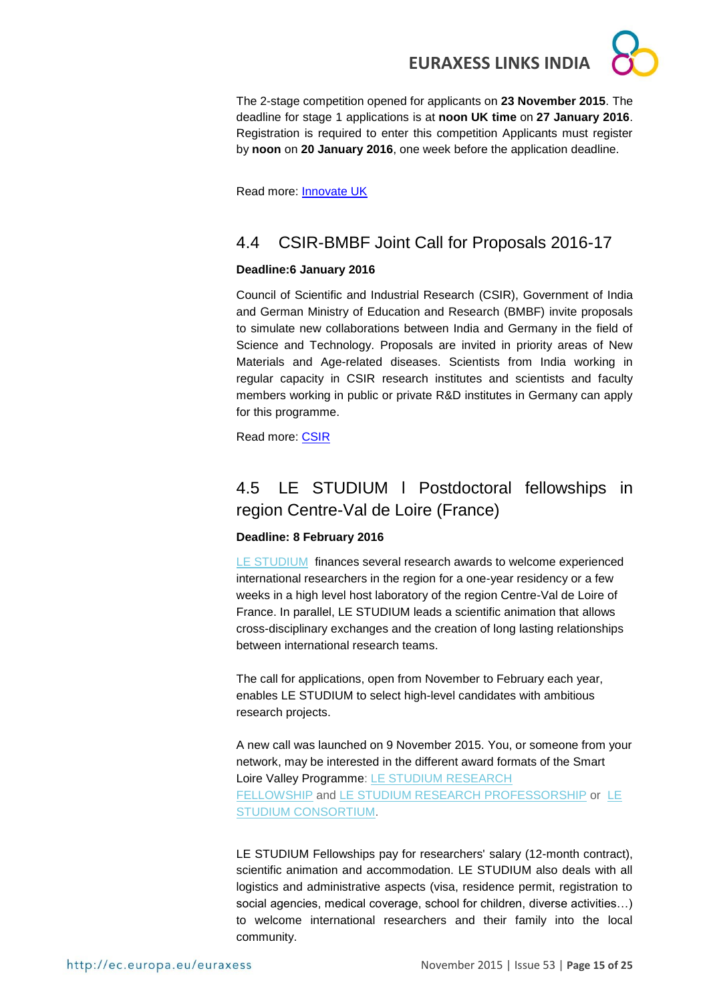The 2-stage competition opened for applicants on **23 November 2015**. The deadline for stage 1 applications is at **noon UK time** on **27 January 2016**. Registration is required to enter this competition Applicants must register by **noon** on **20 January 2016**, one week before the application deadline.

Read more: [Innovate UK](https://interact.innovateuk.org/competition-display-page/-/asset_publisher/RqEt2AKmEBhi/content/india%E2%80%93uk-research-and-innovation-bridges-competition-agri-food)

## <span id="page-14-0"></span>4.4 CSIR-BMBF Joint Call for Proposals 2016-17

#### **Deadline:6 January 2016**

Council of Scientific and Industrial Research (CSIR), Government of India and German Ministry of Education and Research (BMBF) invite proposals to simulate new collaborations between India and Germany in the field of Science and Technology. Proposals are invited in priority areas of New Materials and Age-related diseases. Scientists from India working in regular capacity in CSIR research institutes and scientists and faculty members working in public or private R&D institutes in Germany can apply for this programme.

Read more: [CSIR](http://www.csir.res.in/PDF/Call%20for%20Proposals-CSIR%20BMBF%20Cooperative%20Science%20Prog%202016-17.pdf)

## <span id="page-14-1"></span>4.5 LE STUDIUM l Postdoctoral fellowships in region Centre-Val de Loire (France)

#### **Deadline: 8 February 2016**

[LE STUDIUM](http://lestudium-ias.us9.list-manage.com/track/click?u=75fd9f597e784f6b79454b25c&id=e837074d79&e=fb6bf9bda0) finances several research awards to welcome experienced international researchers in the region for a one-year residency or a few weeks in a high level host laboratory of the region Centre-Val de Loire of France. In parallel, LE STUDIUM leads a scientific animation that allows cross-disciplinary exchanges and the creation of long lasting relationships between international research teams.

The call for applications, open from November to February each year, enables LE STUDIUM to select high-level candidates with ambitious research projects.

A new call was launched on 9 November 2015. You, or someone from your network, may be interested in the different award formats of the Smart Loire Valley Programme: [LE STUDIUM RESEARCH](http://lestudium-ias.us9.list-manage.com/track/click?u=75fd9f597e784f6b79454b25c&id=c9ecda2520&e=fb6bf9bda0)  [FELLOWSHIP](http://lestudium-ias.us9.list-manage.com/track/click?u=75fd9f597e784f6b79454b25c&id=c9ecda2520&e=fb6bf9bda0) and [LE STUDIUM RESEARCH PROFESSORSHIP](http://lestudium-ias.us9.list-manage2.com/track/click?u=75fd9f597e784f6b79454b25c&id=66fcb71f97&e=fb6bf9bda0) or [LE](http://lestudium-ias.us9.list-manage.com/track/click?u=75fd9f597e784f6b79454b25c&id=d42b093299&e=fb6bf9bda0)  [STUDIUM CONSORTIUM.](http://lestudium-ias.us9.list-manage.com/track/click?u=75fd9f597e784f6b79454b25c&id=d42b093299&e=fb6bf9bda0)

LE STUDIUM Fellowships pay for researchers' salary (12-month contract), scientific animation and accommodation. LE STUDIUM also deals with all logistics and administrative aspects (visa, residence permit, registration to social agencies, medical coverage, school for children, diverse activities...) to welcome international researchers and their family into the local community.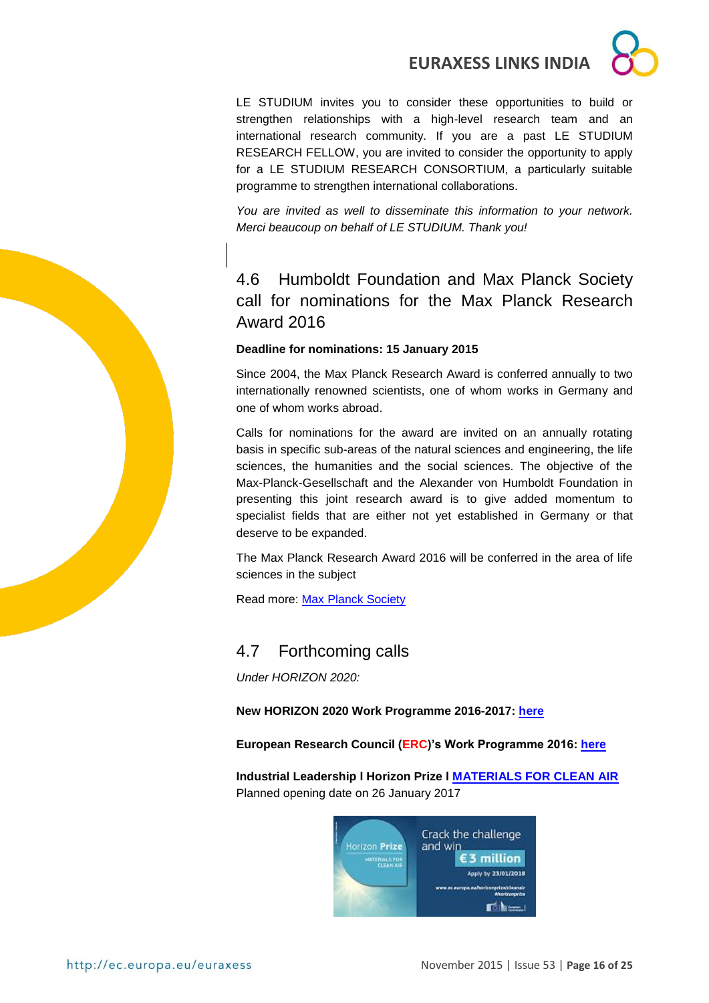LE STUDIUM invites you to consider these opportunities to build or strengthen relationships with a high-level research team and an international research community. If you are a past LE STUDIUM RESEARCH FELLOW, you are invited to consider the opportunity to apply for a LE STUDIUM RESEARCH CONSORTIUM, a particularly suitable programme to strengthen international collaborations.

*You are invited as well to disseminate this information to your network. Merci beaucoup on behalf of LE STUDIUM. Thank you!*

## <span id="page-15-0"></span>4.6 Humboldt Foundation and Max Planck Society call for nominations for the Max Planck Research Award 2016

#### **Deadline for nominations: 15 January 2015**

Since 2004, the Max Planck Research Award is conferred annually to two internationally renowned scientists, one of whom works in Germany and one of whom works abroad.

Calls for nominations for the award are invited on an annually rotating basis in specific sub-areas of the natural sciences and engineering, the life sciences, the humanities and the social sciences. The objective of the Max-Planck-Gesellschaft and the Alexander von Humboldt Foundation in presenting this joint research award is to give added momentum to specialist fields that are either not yet established in Germany or that deserve to be expanded.

The Max Planck Research Award 2016 will be conferred in the area of life sciences in the subject

Read more: [Max Planck Society](http://www.mpg.de/4389111/invitation-nominations)

## <span id="page-15-1"></span>4.7 Forthcoming calls

*Under HORIZON 2020:*

**New HORIZON 2020 Work Programme 2016-2017: [here](http://ec.europa.eu/programmes/horizon2020/en/news/horizon-2020-work-programme-2016-2017-published)**

**European Research Council (ERC)'s Work Programme 2016: [here](http://erc.europa.eu/sites/default/files/document/file/ERC_Work_Programme_2016.pdf)**

**Industrial Leadership l Horizon Prize l [MATERIALS FOR CLEAN AIR](https://ec.europa.eu/research/participants/portal/desktop/en/opportunities/h2020/calls/h2020-cleanair-2015-1.html)** Planned opening date on 26 January 2017

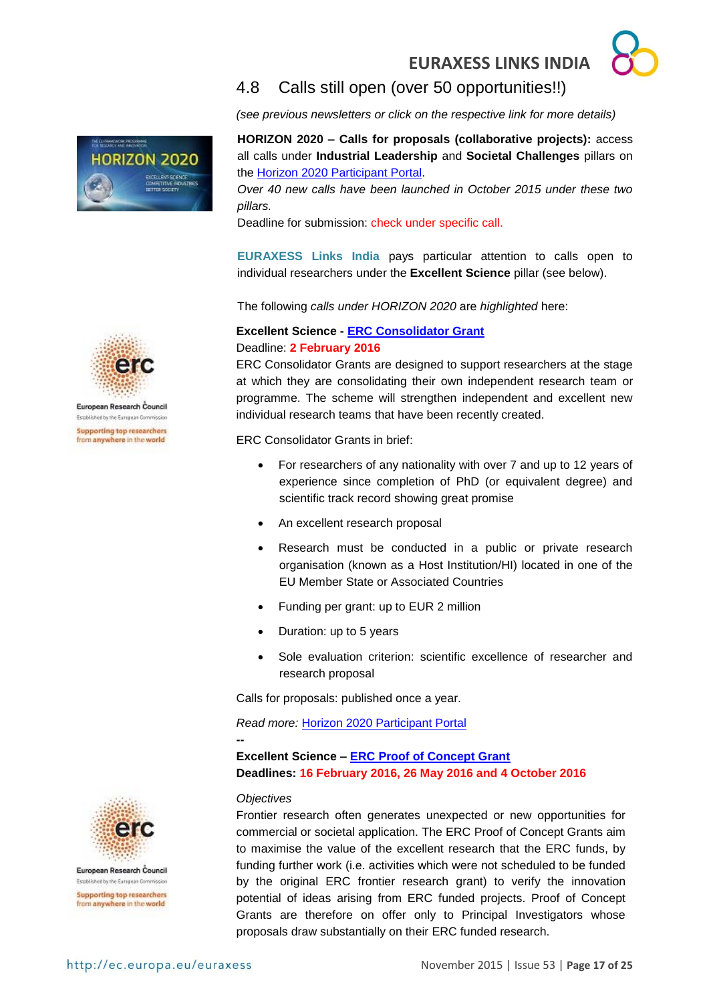## <span id="page-16-0"></span>4.8 Calls still open (over 50 opportunities!!)

*(see previous newsletters or click on the respective link for more details)* 

**HORIZON 2020 – Calls for proposals (collaborative projects):** access all calls under **Industrial Leadership** and **Societal Challenges** pillars on the [Horizon 2020 Participant Portal.](http://ec.europa.eu/research/participants/portal/desktop/en/opportunities/h2020)

*Over 40 new calls have been launched in October 2015 under these two pillars.*

Deadline for submission: check under specific call.

**EURAXESS Links India** pays particular attention to calls open to individual researchers under the **Excellent Science** pillar (see below).

The following *calls under HORIZON 2020* are *highlighted* here:

#### **Excellent Science - [ERC Consolidator Grant](http://ec.europa.eu/research/participants/portal/desktop/en/opportunities/h2020/calls/erc-2016-cog.html)** Deadline: **2 February 2016**

ERC Consolidator Grants are designed to support researchers at the stage at which they are consolidating their own independent research team or programme. The scheme will strengthen independent and excellent new individual research teams that have been recently created.

ERC Consolidator Grants in brief:

- For researchers of any nationality with over 7 and up to 12 years of experience since completion of PhD (or equivalent degree) and scientific track record showing great promise
- An excellent research proposal
- Research must be conducted in a public or private research organisation (known as a Host Institution/HI) located in one of the EU Member State or Associated Countries
- Funding per grant: up to EUR 2 million
- Duration: up to 5 years
- Sole evaluation criterion: scientific excellence of researcher and research proposal

Calls for proposals: published once a year.

*Read more:* [Horizon 2020 Participant Portal](http://ec.europa.eu/research/participants/portal/desktop/en/opportunities/h2020/calls/erc-2016-cog.html)

**Excellent Science – [ERC Proof of Concept Grant](https://ec.europa.eu/research/participants/portal/desktop/en/opportunities/h2020/calls/erc-2016-poc.html#c,topics=callIdentifier/t/ERC-2016-PoC/1/1/1&callStatus/t/Forthcoming/1/1/0&callStatus/t/Open/1/1/0&callStatus/t/Closed/1/1/0&+identifier/desc) Deadlines: 16 February 2016, 26 May 2016 and 4 October 2016**

#### *Objectives*

**--**

Frontier research often generates unexpected or new opportunities for commercial or societal application. The ERC Proof of Concept Grants aim to maximise the value of the excellent research that the ERC funds, by funding further work (i.e. activities which were not scheduled to be funded by the original ERC frontier research grant) to verify the innovation potential of ideas arising from ERC funded projects. Proof of Concept Grants are therefore on offer only to Principal Investigators whose proposals draw substantially on their ERC funded research.



**HORIZON 2020** 

European Research Council. Established by the European Commission **Supporting top researchers** from anywhere in the world



European Research Council Established by the European Commission **Supporting top researchers** from anywhere in the world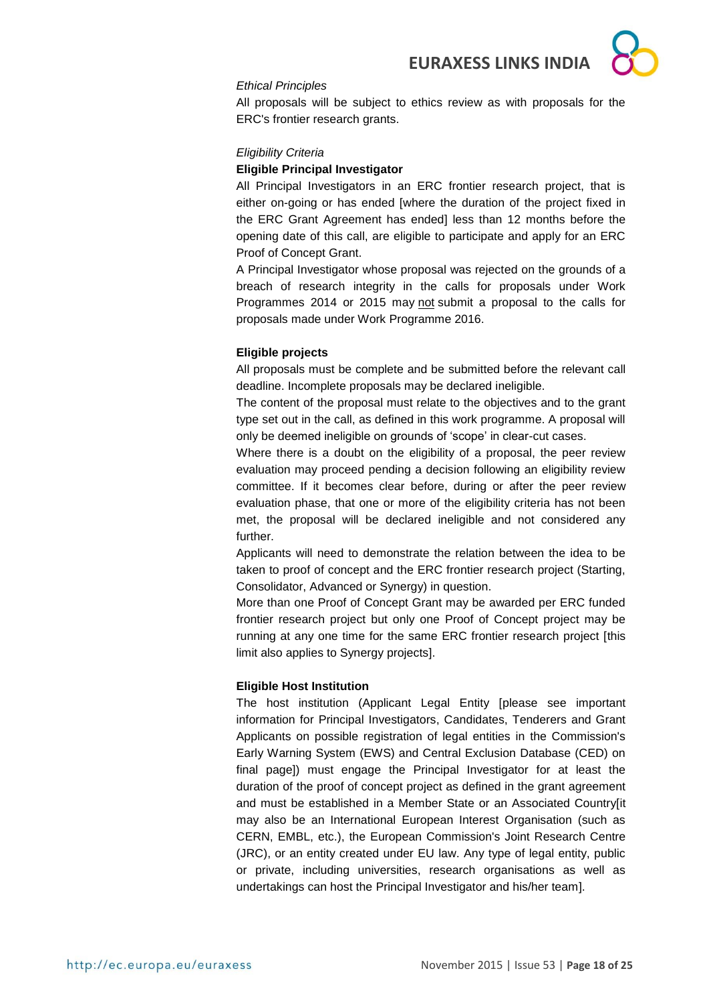

#### *Ethical Principles*

All proposals will be subject to ethics review as with proposals for the ERC's frontier research grants.

#### *Eligibility Criteria*

#### **Eligible Principal Investigator**

All Principal Investigators in an ERC frontier research project, that is either on-going or has ended [where the duration of the project fixed in the ERC Grant Agreement has ended] less than 12 months before the opening date of this call, are eligible to participate and apply for an ERC Proof of Concept Grant.

A Principal Investigator whose proposal was rejected on the grounds of a breach of research integrity in the calls for proposals under Work Programmes 2014 or 2015 may not submit a proposal to the calls for proposals made under Work Programme 2016.

#### **Eligible projects**

All proposals must be complete and be submitted before the relevant call deadline. Incomplete proposals may be declared ineligible.

The content of the proposal must relate to the objectives and to the grant type set out in the call, as defined in this work programme. A proposal will only be deemed ineligible on grounds of 'scope' in clear-cut cases.

Where there is a doubt on the eligibility of a proposal, the peer review evaluation may proceed pending a decision following an eligibility review committee. If it becomes clear before, during or after the peer review evaluation phase, that one or more of the eligibility criteria has not been met, the proposal will be declared ineligible and not considered any further.

Applicants will need to demonstrate the relation between the idea to be taken to proof of concept and the ERC frontier research project (Starting, Consolidator, Advanced or Synergy) in question.

More than one Proof of Concept Grant may be awarded per ERC funded frontier research project but only one Proof of Concept project may be running at any one time for the same ERC frontier research project [this limit also applies to Synergy projects].

#### **Eligible Host Institution**

The host institution (Applicant Legal Entity [please see important information for Principal Investigators, Candidates, Tenderers and Grant Applicants on possible registration of legal entities in the Commission's Early Warning System (EWS) and Central Exclusion Database (CED) on final page]) must engage the Principal Investigator for at least the duration of the proof of concept project as defined in the grant agreement and must be established in a Member State or an Associated Country[it may also be an International European Interest Organisation (such as CERN, EMBL, etc.), the European Commission's Joint Research Centre (JRC), or an entity created under EU law. Any type of legal entity, public or private, including universities, research organisations as well as undertakings can host the Principal Investigator and his/her team].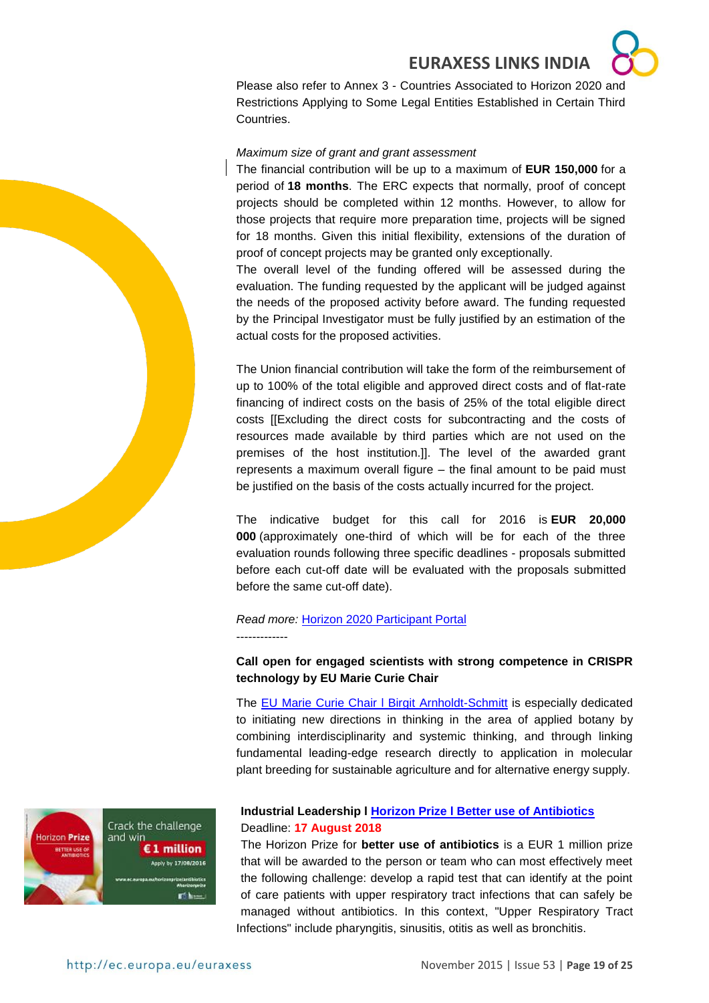



Please also refer to Annex 3 - Countries Associated to Horizon 2020 and Restrictions Applying to Some Legal Entities Established in Certain Third Countries.

#### *Maximum size of grant and grant assessment*

The financial contribution will be up to a maximum of **EUR 150,000** for a period of **18 months**. The ERC expects that normally, proof of concept projects should be completed within 12 months. However, to allow for those projects that require more preparation time, projects will be signed for 18 months. Given this initial flexibility, extensions of the duration of proof of concept projects may be granted only exceptionally.

The overall level of the funding offered will be assessed during the evaluation. The funding requested by the applicant will be judged against the needs of the proposed activity before award. The funding requested by the Principal Investigator must be fully justified by an estimation of the actual costs for the proposed activities.

The Union financial contribution will take the form of the reimbursement of up to 100% of the total eligible and approved direct costs and of flat-rate financing of indirect costs on the basis of 25% of the total eligible direct costs [[Excluding the direct costs for subcontracting and the costs of resources made available by third parties which are not used on the premises of the host institution.]]. The level of the awarded grant represents a maximum overall figure – the final amount to be paid must be justified on the basis of the costs actually incurred for the project.

The indicative budget for this call for 2016 is **EUR 20,000 000** (approximately one-third of which will be for each of the three evaluation rounds following three specific deadlines - proposals submitted before each cut-off date will be evaluated with the proposals submitted before the same cut-off date).

#### *Read more:* Horizon 2020 [Participant Portal](https://ec.europa.eu/research/participants/portal/desktop/en/opportunities/h2020/topics/1116-erc-poc-2016.html) -------------

#### **Call open for engaged scientists with strong competence in CRISPR technology by EU Marie Curie Chair**

The EU Marie Curie Chair I Birgit Arnholdt-Schmitt is especially dedicated to initiating new directions in thinking in the area of applied botany by combining interdisciplinarity and systemic thinking, and through linking fundamental leading-edge research directly to application in molecular plant breeding for sustainable agriculture and for alternative energy supply.



#### **Industrial Leadership l [Horizon Prize l Better use of Antibiotics](http://ec.europa.eu/research/participants/portal/desktop/en/opportunities/h2020/topics/14060-hoa-01-2015.html#tab1)** Deadline: **17 August 2018**

The Horizon Prize for **better use of antibiotics** is a EUR 1 million prize that will be awarded to the person or team who can most effectively meet the following challenge: develop a rapid test that can identify at the point of care patients with upper respiratory tract infections that can safely be managed without antibiotics. In this context, "Upper Respiratory Tract Infections" include pharyngitis, sinusitis, otitis as well as bronchitis.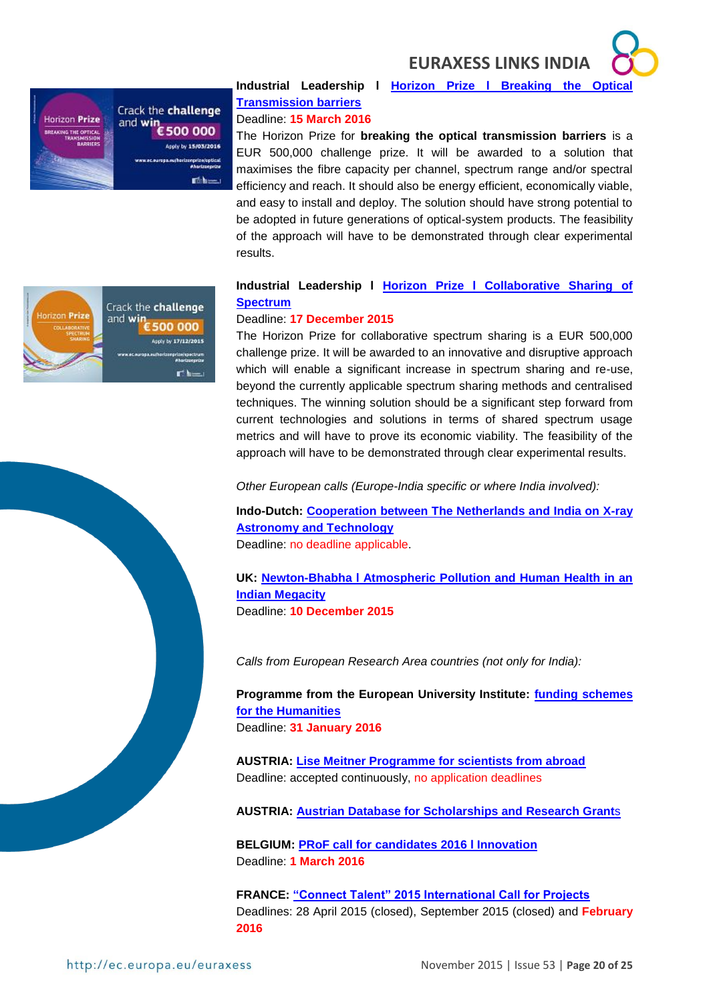

## **Industrial Leadership l [Horizon Prize l Breaking the Optical](https://ec.europa.eu/research/participants/portal/desktop/en/opportunities/h2020/topics/16084-opticalprize-01-2015.html#tab1)  [Transmission barriers](https://ec.europa.eu/research/participants/portal/desktop/en/opportunities/h2020/topics/16084-opticalprize-01-2015.html#tab1)**

## Deadline: **15 March 2016**

The Horizon Prize for **breaking the optical transmission barriers** is a EUR 500,000 challenge prize. It will be awarded to a solution that maximises the fibre capacity per channel, spectrum range and/or spectral efficiency and reach. It should also be energy efficient, economically viable, and easy to install and deploy. The solution should have strong potential to be adopted in future generations of optical-system products. The feasibility of the approach will have to be demonstrated through clear experimental results.

#### **Industrial Leadership l [Horizon Prize l Collaborative Sharing of](https://ec.europa.eu/research/participants/portal/desktop/en/opportunities/h2020/topics/16083-spectrumprize-01-2015.html)  [Spectrum](https://ec.europa.eu/research/participants/portal/desktop/en/opportunities/h2020/topics/16083-spectrumprize-01-2015.html)**

#### Deadline: **17 December 2015**

The Horizon Prize for collaborative spectrum sharing is a EUR 500,000 challenge prize. It will be awarded to an innovative and disruptive approach which will enable a significant increase in spectrum sharing and re-use, beyond the currently applicable spectrum sharing methods and centralised techniques. The winning solution should be a significant step forward from current technologies and solutions in terms of shared spectrum usage metrics and will have to prove its economic viability. The feasibility of the approach will have to be demonstrated through clear experimental results.

*Other European calls (Europe-India specific or where India involved):* 

**Indo-Dutch: [Cooperation between The Netherlands and India on X-ray](http://www.nwo.nl/en/funding/our-funding-instruments/ew/cooperation-india-x-ray-astronomy-and-technology/cooperation-india-x-ray-astronomy-and-technology.html)  [Astronomy and Technology](http://www.nwo.nl/en/funding/our-funding-instruments/ew/cooperation-india-x-ray-astronomy-and-technology/cooperation-india-x-ray-astronomy-and-technology.html)** Deadline: no deadline applicable.

**UK: [Newton-Bhabha l Atmospheric Pollution and Human Health in an](http://www.nerc.ac.uk/research/funded/programmes/atmospollution/news/aoinitial/)  [Indian Megacity](http://www.nerc.ac.uk/research/funded/programmes/atmospollution/news/aoinitial/)** Deadline: **10 December 2015**

*Calls from European Research Area countries (not only for India):* 

**Programme from the European University Institute: [funding schemes](file:///C:/Users/Couvson.Kimberly/AppData/Local/Microsoft/Windows/Temporary%20Internet%20Files/Content.Outlook/2SUTRSBV/www.eui.eu/Phd)  [for the Humanities](file:///C:/Users/Couvson.Kimberly/AppData/Local/Microsoft/Windows/Temporary%20Internet%20Files/Content.Outlook/2SUTRSBV/www.eui.eu/Phd)** Deadline: **31 January 2016**

**AUSTRIA: [Lise Meitner Programme for scientists from abroad](https://www.fwf.ac.at/en/research-funding/fwf-programmes/meitner-programme/)** Deadline: accepted continuously, no application deadlines

**AUSTRIA: [Austrian Database for Scholarships and Research Grant](http://www.grants.at/home/EN/)**s

**BELGIUM: [PRoF call for candidates 2016 l Innovation](http://www.prof-projects.com/2016-call.html)** Deadline: **1 March 2016**

**FRANCE: ["Connect Talent" 2015 International Call for Projects](http://www.connectalent.org/fileadmin/documents/specifications_v2_15_01_2015_vfinale.pdf)** Deadlines: 28 April 2015 (closed), September 2015 (closed) and **February 2016**



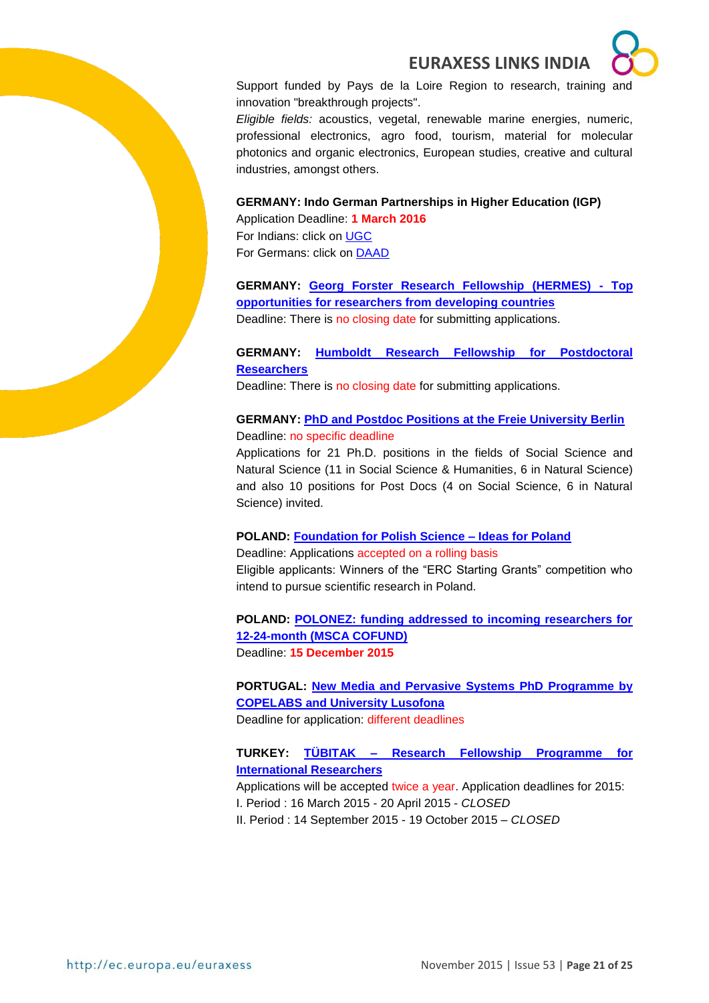

Support funded by Pays de la Loire Region to research, training and innovation "breakthrough projects".

*Eligible fields:* acoustics, vegetal, renewable marine energies, numeric, professional electronics, agro food, tourism, material for molecular photonics and organic electronics, European studies, creative and cultural industries, amongst others.

**GERMANY: Indo German Partnerships in Higher Education (IGP)** Application Deadline: **1 March 2016**

For Indians: click on [UGC](http://www.ugc.ac.in/pdfnews/9547361_Indo-German-Higher-Education_Programme.pdf) For Germans: click on **DAAD** 

**GERMANY: [Georg Forster Research Fellowship \(HERMES\) -](http://www.humboldt-foundation.de/web/georg-forster-fellowship-hermes.html) Top [opportunities for researchers from developing countries](http://www.humboldt-foundation.de/web/georg-forster-fellowship-hermes.html)**

Deadline: There is no closing date for submitting applications.

#### **GERMANY: [Humboldt Research Fellowship for Postdoctoral](http://www.humboldt-foundation.de/web/humboldt-fellowship-postdoc.html)  [Researchers](http://www.humboldt-foundation.de/web/humboldt-fellowship-postdoc.html)**

Deadline: There is no closing date for submitting applications.

#### **GERMANY: [PhD and Postdoc Positions at the Freie University Berlin](http://www.fu-berlin.de/en/sites/delhi/)** Deadline: no specific deadline

Applications for 21 Ph.D. positions in the fields of Social Science and Natural Science (11 in Social Science & Humanities, 6 in Natural Science) and also 10 positions for Post Docs (4 on Social Science, 6 in Natural Science) invited.

#### **POLAND: [Foundation for Polish Science –](http://www.fnp.org.pl/en/oferta/ideas-for-poland/) Ideas for Poland**

Deadline: Applications accepted on a rolling basis Eligible applicants: Winners of the "ERC Starting Grants" competition who intend to pursue scientific research in Poland.

**POLAND: [POLONEZ: funding addressed to incoming researchers for](https://www.ncn.gov.pl/aktualnosci/2015-07-31-polonez-dokumentacja?language=en)  [12-24-month \(MSCA COFUND\)](https://www.ncn.gov.pl/aktualnosci/2015-07-31-polonez-dokumentacja?language=en)** Deadline: **15 December 2015**

**PORTUGAL: [New Media and Pervasive Systems PhD Programme by](http://siti.ulusofona.pt/~nemps/index.php?option=com_content&view=article&id=27&Itemid=151&lang=en)  [COPELABS and University Lusofona](http://siti.ulusofona.pt/~nemps/index.php?option=com_content&view=article&id=27&Itemid=151&lang=en)** Deadline for application: different deadlines

**TURKEY: TÜBITAK – [Research Fellowship Programme for](http://www.tubitak.gov.tr/en/scholarship/postdoctoral/international-programmes/2216/content-scope-of-the-support)  [International Researchers](http://www.tubitak.gov.tr/en/scholarship/postdoctoral/international-programmes/2216/content-scope-of-the-support)**

Applications will be accepted twice a year. Application deadlines for 2015: I. Period : 16 March 2015 - 20 April 2015 - *CLOSED* II. Period : 14 September 2015 - 19 October 2015 – *CLOSED*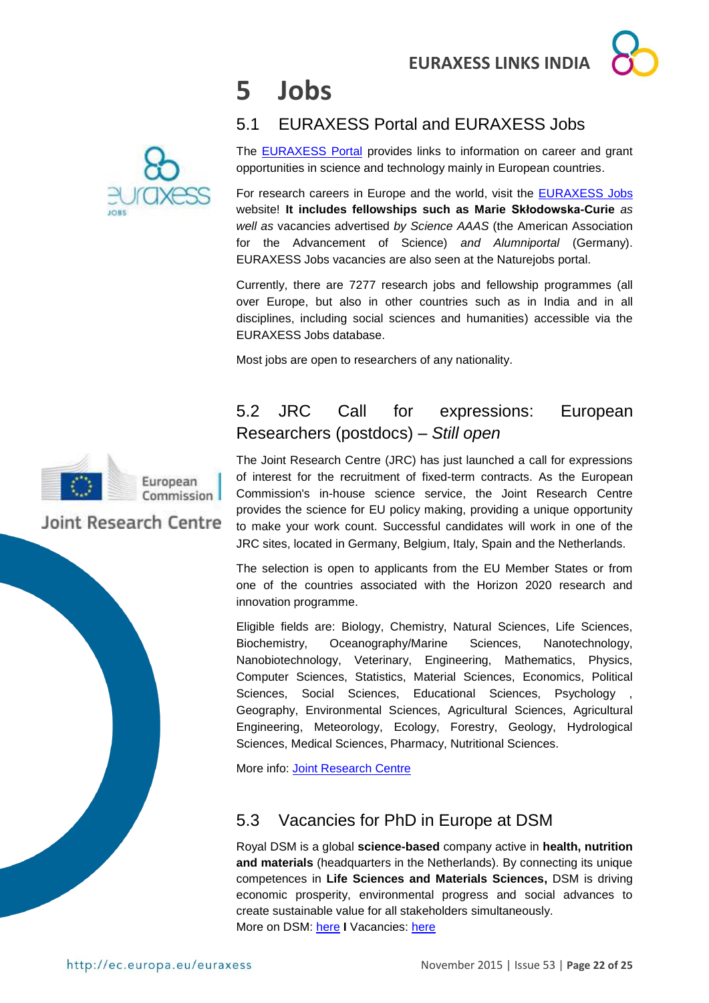# <span id="page-21-0"></span>**5 Jobs**

## <span id="page-21-1"></span>5.1 EURAXESS Portal and EURAXESS Jobs

The [EURAXESS Portal](http://ec.europa.eu/euraxess/index.cfm/general/index) provides links to information on career and grant opportunities in science and technology mainly in European countries.

For research careers in Europe and the world, visit the [EURAXESS Jobs](http://ec.europa.eu/euraxess/index.cfm/jobs/jvSearch) website! **It includes fellowships such as Marie Skłodowska-Curie** *as well as* vacancies advertised *by Science AAAS* (the American Association for the Advancement of Science) *and Alumniportal* (Germany). EURAXESS Jobs vacancies are also seen at the Naturejobs portal.

Currently, there are 7277 research jobs and fellowship programmes (all over Europe, but also in other countries such as in India and in all disciplines, including social sciences and humanities) accessible via the EURAXESS Jobs database.

Most jobs are open to researchers of any nationality.

## <span id="page-21-2"></span>5.2 JRC Call for expressions: European Researchers (postdocs) – *Still open*

The Joint Research Centre (JRC) has just launched a call for expressions of interest for the recruitment of fixed-term contracts. As the European Commission's in-house science service, the Joint Research Centre provides the science for EU policy making, providing a unique opportunity to make your work count. Successful candidates will work in one of the JRC sites, located in Germany, Belgium, Italy, Spain and the Netherlands.

The selection is open to applicants from the EU Member States or from one of the countries associated with the Horizon 2020 research and innovation programme.

Eligible fields are: Biology, Chemistry, Natural Sciences, Life Sciences, Biochemistry, Oceanography/Marine Sciences, Nanotechnology, Nanobiotechnology, Veterinary, Engineering, Mathematics, Physics, Computer Sciences, Statistics, Material Sciences, Economics, Political Sciences, Social Sciences, Educational Sciences, Psychology Geography, Environmental Sciences, Agricultural Sciences, Agricultural Engineering, Meteorology, Ecology, Forestry, Geology, Hydrological Sciences, Medical Sciences, Pharmacy, Nutritional Sciences.

More info: [Joint Research Centre](https://ec.europa.eu/jrc/en/working-with-us/jobs/vacancies/function-group-iv-researchers)

## <span id="page-21-3"></span>5.3 Vacancies for PhD in Europe at DSM

Royal DSM is a global **science-based** company active in **health, nutrition and materials** (headquarters in the Netherlands). By connecting its unique competences in **Life Sciences and Materials Sciences,** DSM is driving economic prosperity, environmental progress and social advances to create sustainable value for all stakeholders simultaneously. More on DSM: [here](http://www.dsm.com/corporate/home.html) **I** Vacancies: [here](http://www.dsm.com/corporate/careers/vacancies/dsmvacancies.html)





European Commission

## Joint Research Centre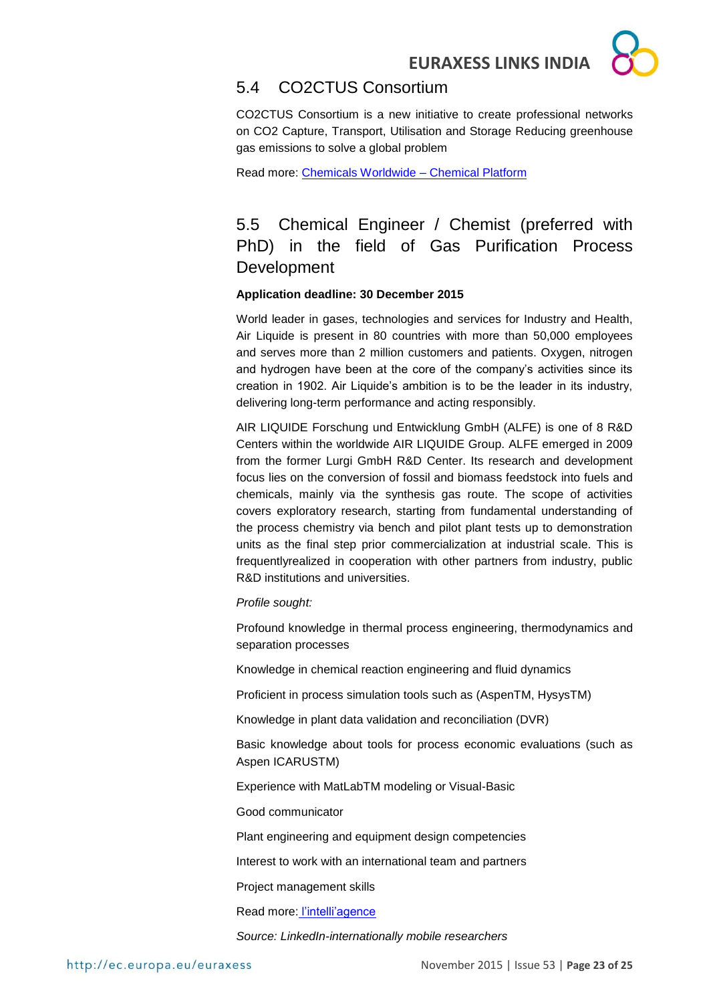

## <span id="page-22-0"></span>5.4 CO2CTUS Consortium

CO2CTUS Consortium is a new initiative to create professional networks on CO2 Capture, Transport, Utilisation and Storage Reducing greenhouse gas emissions to solve a global problem

Read more: [Chemicals Worldwide –](http://www.chemicalsworldwide.com/consortia/co2ctus-consortium/#CO2CTUS) Chemical Platform

<span id="page-22-1"></span>5.5 Chemical Engineer / Chemist (preferred with PhD) in the field of Gas Purification Process Development

#### **Application deadline: 30 December 2015**

World leader in gases, technologies and services for Industry and Health, Air Liquide is present in 80 countries with more than 50,000 employees and serves more than 2 million customers and patients. Oxygen, nitrogen and hydrogen have been at the core of the company's activities since its creation in 1902. Air Liquide's ambition is to be the leader in its industry, delivering long-term performance and acting responsibly.

AIR LIQUIDE Forschung und Entwicklung GmbH (ALFE) is one of 8 R&D Centers within the worldwide AIR LIQUIDE Group. ALFE emerged in 2009 from the former Lurgi GmbH R&D Center. Its research and development focus lies on the conversion of fossil and biomass feedstock into fuels and chemicals, mainly via the synthesis gas route. The scope of activities covers exploratory research, starting from fundamental understanding of the process chemistry via bench and pilot plant tests up to demonstration units as the final step prior commercialization at industrial scale. This is frequentlyrealized in cooperation with other partners from industry, public R&D institutions and universities.

#### *Profile sought:*

Profound knowledge in thermal process engineering, thermodynamics and separation processes

Knowledge in chemical reaction engineering and fluid dynamics

Proficient in process simulation tools such as (AspenTM, HysysTM)

Knowledge in plant data validation and reconciliation (DVR)

Basic knowledge about tools for process economic evaluations (such as Aspen ICARUSTM)

Experience with MatLabTM modeling or Visual-Basic

Good communicator

Plant engineering and equipment design competencies

Interest to work with an international team and partners

Project management skills

Read more: [l'intelli'agence](http://www.intelliagence.fr/Page/Offer/ShowOffer.aspx?OfferId=64583)

*Source: LinkedIn-internationally mobile researchers*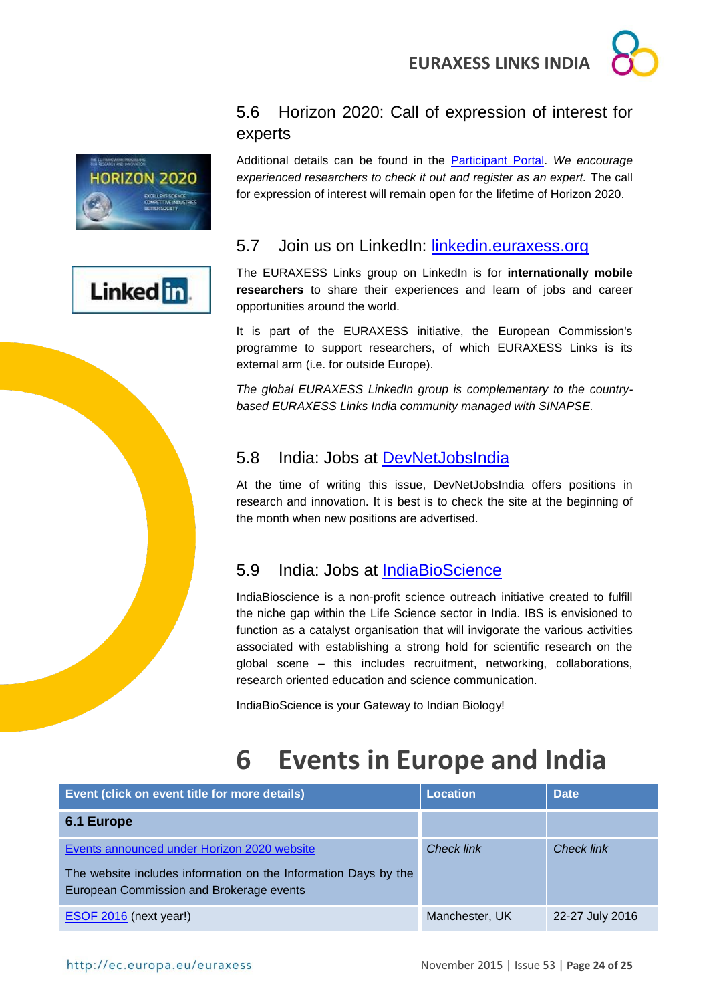

## <span id="page-23-0"></span>5.6 Horizon 2020: Call of expression of interest for experts



Linked in

Additional details can be found in the [Participant Portal.](http://ec.europa.eu/research/participants/portal/desktop/en/experts/index.html) *We encourage experienced researchers to check it out and register as an expert.* The call for expression of interest will remain open for the lifetime of Horizon 2020.

## <span id="page-23-1"></span>5.7 Join us on LinkedIn: [linkedin.euraxess.org](http://www.linkedin.com/groups/EURAXESS-Links-Internationally-Mobile-Researchers-4990889/about)

The EURAXESS Links group on LinkedIn is for **internationally mobile researchers** to share their experiences and learn of jobs and career opportunities around the world.

It is part of the EURAXESS initiative, the European Commission's programme to support researchers, of which EURAXESS Links is its external arm (i.e. for outside Europe).

*The global EURAXESS LinkedIn group is complementary to the countrybased EURAXESS Links India community managed with SINAPSE.*

## <span id="page-23-2"></span>5.8 India: Jobs at [DevNetJobsIndia](http://www.devnetjobsindia.org/)

At the time of writing this issue, DevNetJobsIndia offers positions in research and innovation. It is best is to check the site at the beginning of the month when new positions are advertised.

## <span id="page-23-3"></span>5.9 India: Jobs at [IndiaBioScience](http://www.indiabioscience.org/jobs)

IndiaBioscience is a non-profit science outreach initiative created to fulfill the niche gap within the Life Science sector in India. IBS is envisioned to function as a catalyst organisation that will invigorate the various activities associated with establishing a strong hold for scientific research on the global scene – this includes recruitment, networking, collaborations, research oriented education and science communication.

IndiaBioScience is your Gateway to Indian Biology!

# <span id="page-23-4"></span>**6 Events in Europe and India**

| Event (click on event title for more details)                                                                                                              | <b>Location</b>   | <b>Date</b>       |
|------------------------------------------------------------------------------------------------------------------------------------------------------------|-------------------|-------------------|
| 6.1 Europe                                                                                                                                                 |                   |                   |
| Events announced under Horizon 2020 website<br>The website includes information on the Information Days by the<br>European Commission and Brokerage events | <b>Check link</b> | <b>Check link</b> |
| $ESOF 2016$ (next year!)                                                                                                                                   | Manchester, UK    | 22-27 July 2016   |